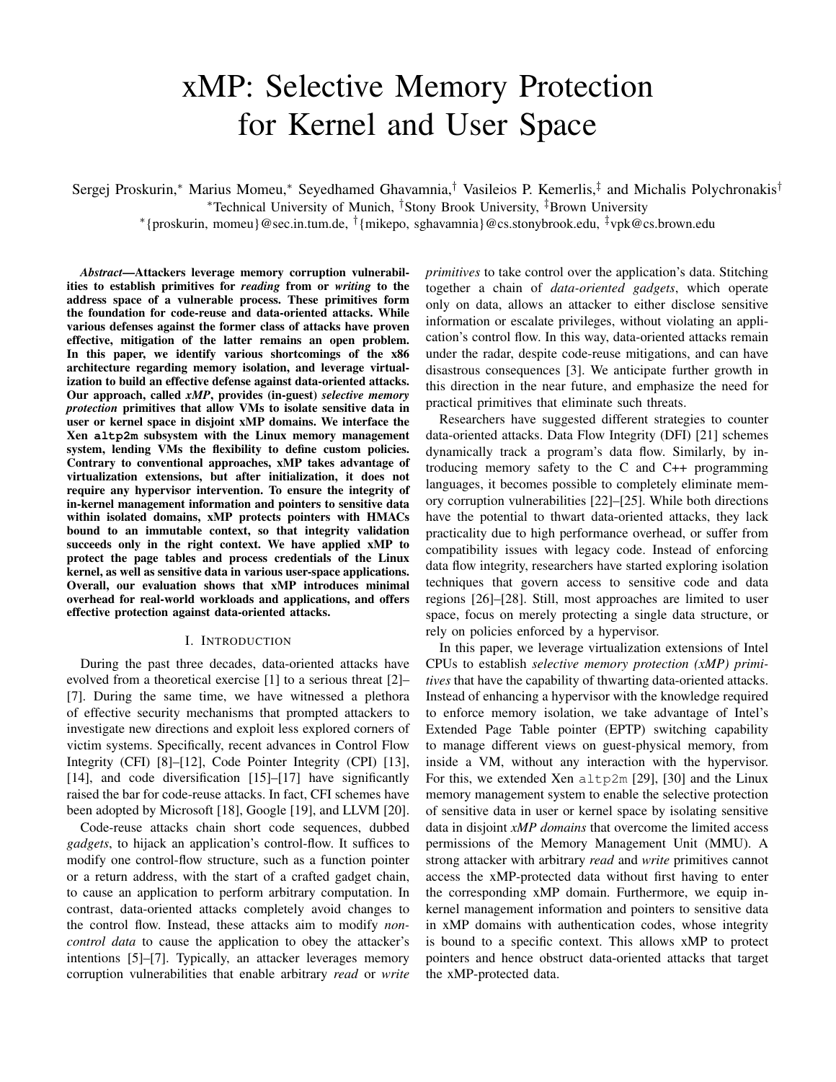# xMP: Selective Memory Protection for Kernel and User Space

Sergej Proskurin,\* Marius Momeu,\* Seyedhamed Ghavamnia,<sup>†</sup> Vasileios P. Kemerlis,<sup>‡</sup> and Michalis Polychronakis<sup>†</sup> <sup>∗</sup>Technical University of Munich, †Stony Brook University, ‡Brown University

∗ {proskurin, momeu}@sec.in.tum.de, † {mikepo, sghavamnia}@cs.stonybrook.edu, ‡vpk@cs.brown.edu

*Abstract*—Attackers leverage memory corruption vulnerabilities to establish primitives for *reading* from or *writing* to the address space of a vulnerable process. These primitives form the foundation for code-reuse and data-oriented attacks. While various defenses against the former class of attacks have proven effective, mitigation of the latter remains an open problem. In this paper, we identify various shortcomings of the x86 architecture regarding memory isolation, and leverage virtualization to build an effective defense against data-oriented attacks. Our approach, called *xMP*, provides (in-guest) *selective memory protection* primitives that allow VMs to isolate sensitive data in user or kernel space in disjoint xMP domains. We interface the Xen **altp2m** subsystem with the Linux memory management system, lending VMs the flexibility to define custom policies. Contrary to conventional approaches, xMP takes advantage of virtualization extensions, but after initialization, it does not require any hypervisor intervention. To ensure the integrity of in-kernel management information and pointers to sensitive data within isolated domains, xMP protects pointers with HMACs bound to an immutable context, so that integrity validation succeeds only in the right context. We have applied xMP to protect the page tables and process credentials of the Linux kernel, as well as sensitive data in various user-space applications. Overall, our evaluation shows that xMP introduces minimal overhead for real-world workloads and applications, and offers effective protection against data-oriented attacks.

#### I. INTRODUCTION

During the past three decades, data-oriented attacks have evolved from a theoretical exercise [\[1\]](#page-13-0) to a serious threat [\[2\]](#page-13-1)– [\[7\]](#page-13-2). During the same time, we have witnessed a plethora of effective security mechanisms that prompted attackers to investigate new directions and exploit less explored corners of victim systems. Specifically, recent advances in Control Flow Integrity (CFI) [\[8\]](#page-13-3)–[\[12\]](#page-13-4), Code Pointer Integrity (CPI) [\[13\]](#page-13-5), [\[14\]](#page-13-6), and code diversification [\[15\]](#page-13-7)–[\[17\]](#page-13-8) have significantly raised the bar for code-reuse attacks. In fact, CFI schemes have been adopted by Microsoft [\[18\]](#page-13-9), Google [\[19\]](#page-13-10), and LLVM [\[20\]](#page-13-11).

Code-reuse attacks chain short code sequences, dubbed *gadgets*, to hijack an application's control-flow. It suffices to modify one control-flow structure, such as a function pointer or a return address, with the start of a crafted gadget chain, to cause an application to perform arbitrary computation. In contrast, data-oriented attacks completely avoid changes to the control flow. Instead, these attacks aim to modify *noncontrol data* to cause the application to obey the attacker's intentions [\[5\]](#page-13-12)–[\[7\]](#page-13-2). Typically, an attacker leverages memory corruption vulnerabilities that enable arbitrary *read* or *write* *primitives* to take control over the application's data. Stitching together a chain of *data-oriented gadgets*, which operate only on data, allows an attacker to either disclose sensitive information or escalate privileges, without violating an application's control flow. In this way, data-oriented attacks remain under the radar, despite code-reuse mitigations, and can have disastrous consequences [\[3\]](#page-13-13). We anticipate further growth in this direction in the near future, and emphasize the need for practical primitives that eliminate such threats.

Researchers have suggested different strategies to counter data-oriented attacks. Data Flow Integrity (DFI) [\[21\]](#page-13-14) schemes dynamically track a program's data flow. Similarly, by introducing memory safety to the C and C++ programming languages, it becomes possible to completely eliminate memory corruption vulnerabilities [\[22\]](#page-13-15)–[\[25\]](#page-13-16). While both directions have the potential to thwart data-oriented attacks, they lack practicality due to high performance overhead, or suffer from compatibility issues with legacy code. Instead of enforcing data flow integrity, researchers have started exploring isolation techniques that govern access to sensitive code and data regions [\[26\]](#page-13-17)–[\[28\]](#page-13-18). Still, most approaches are limited to user space, focus on merely protecting a single data structure, or rely on policies enforced by a hypervisor.

In this paper, we leverage virtualization extensions of Intel CPUs to establish *selective memory protection (xMP) primitives* that have the capability of thwarting data-oriented attacks. Instead of enhancing a hypervisor with the knowledge required to enforce memory isolation, we take advantage of Intel's Extended Page Table pointer (EPTP) switching capability to manage different views on guest-physical memory, from inside a VM, without any interaction with the hypervisor. For this, we extended Xen altp2m [\[29\]](#page-13-19), [\[30\]](#page-13-20) and the Linux memory management system to enable the selective protection of sensitive data in user or kernel space by isolating sensitive data in disjoint *xMP domains* that overcome the limited access permissions of the Memory Management Unit (MMU). A strong attacker with arbitrary *read* and *write* primitives cannot access the xMP-protected data without first having to enter the corresponding xMP domain. Furthermore, we equip inkernel management information and pointers to sensitive data in xMP domains with authentication codes, whose integrity is bound to a specific context. This allows xMP to protect pointers and hence obstruct data-oriented attacks that target the xMP-protected data.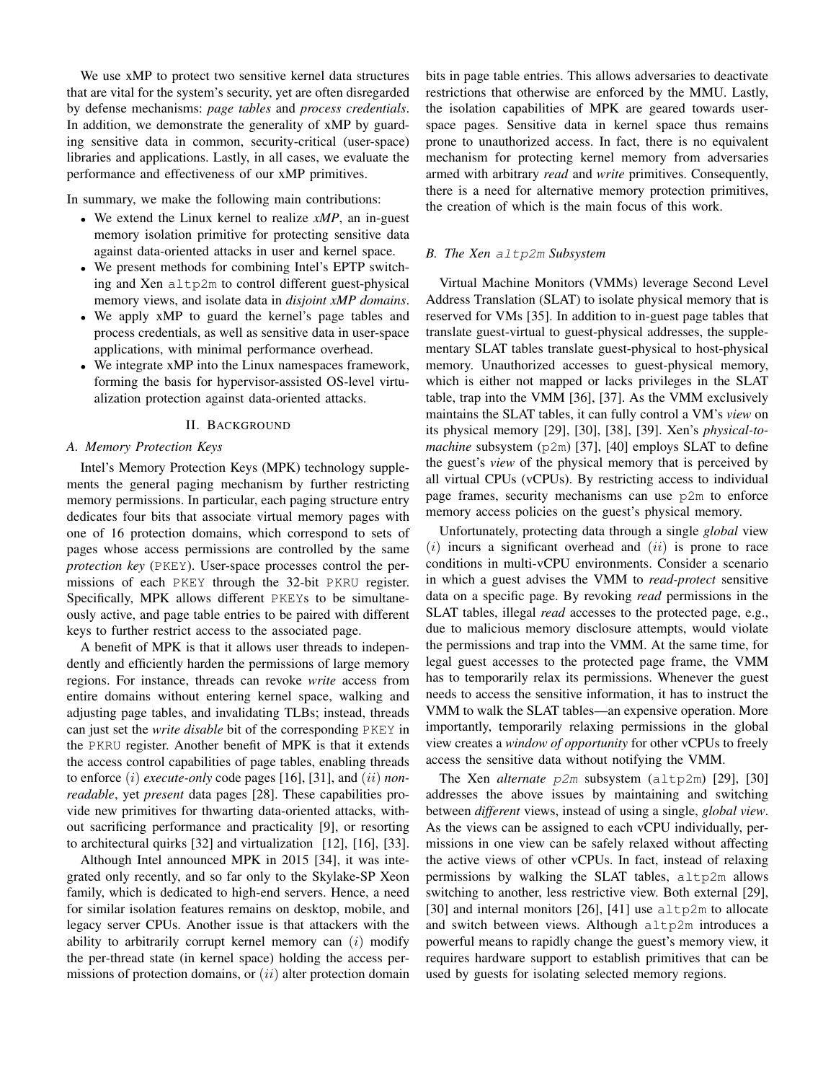We use xMP to protect two sensitive kernel data structures that are vital for the system's security, yet are often disregarded by defense mechanisms: *page tables* and *process credentials*. In addition, we demonstrate the generality of xMP by guarding sensitive data in common, security-critical (user-space) libraries and applications. Lastly, in all cases, we evaluate the performance and effectiveness of our xMP primitives.

In summary, we make the following main contributions:

- We extend the Linux kernel to realize *xMP*, an in-guest memory isolation primitive for protecting sensitive data against data-oriented attacks in user and kernel space.
- We present methods for combining Intel's EPTP switching and Xen altp2m to control different guest-physical memory views, and isolate data in *disjoint xMP domains*.
- We apply xMP to guard the kernel's page tables and process credentials, as well as sensitive data in user-space applications, with minimal performance overhead.
- We integrate xMP into the Linux namespaces framework, forming the basis for hypervisor-assisted OS-level virtualization protection against data-oriented attacks.

## II. BACKGROUND

## <span id="page-1-1"></span>*A. Memory Protection Keys*

Intel's Memory Protection Keys (MPK) technology supplements the general paging mechanism by further restricting memory permissions. In particular, each paging structure entry dedicates four bits that associate virtual memory pages with one of 16 protection domains, which correspond to sets of pages whose access permissions are controlled by the same *protection key* (PKEY). User-space processes control the permissions of each PKEY through the 32-bit PKRU register. Specifically, MPK allows different PKEYs to be simultaneously active, and page table entries to be paired with different keys to further restrict access to the associated page.

A benefit of MPK is that it allows user threads to independently and efficiently harden the permissions of large memory regions. For instance, threads can revoke *write* access from entire domains without entering kernel space, walking and adjusting page tables, and invalidating TLBs; instead, threads can just set the *write disable* bit of the corresponding PKEY in the PKRU register. Another benefit of MPK is that it extends the access control capabilities of page tables, enabling threads to enforce (i) *execute-only* code pages [\[16\]](#page-13-21), [\[31\]](#page-13-22), and (ii) *nonreadable*, yet *present* data pages [\[28\]](#page-13-18). These capabilities provide new primitives for thwarting data-oriented attacks, without sacrificing performance and practicality [\[9\]](#page-13-23), or resorting to architectural quirks [\[32\]](#page-13-24) and virtualization [\[12\]](#page-13-4), [\[16\]](#page-13-21), [\[33\]](#page-13-25).

Although Intel announced MPK in 2015 [\[34\]](#page-13-26), it was integrated only recently, and so far only to the Skylake-SP Xeon family, which is dedicated to high-end servers. Hence, a need for similar isolation features remains on desktop, mobile, and legacy server CPUs. Another issue is that attackers with the ability to arbitrarily corrupt kernel memory can  $(i)$  modify the per-thread state (in kernel space) holding the access permissions of protection domains, or  $(ii)$  alter protection domain

bits in page table entries. This allows adversaries to deactivate restrictions that otherwise are enforced by the MMU. Lastly, the isolation capabilities of MPK are geared towards userspace pages. Sensitive data in kernel space thus remains prone to unauthorized access. In fact, there is no equivalent mechanism for protecting kernel memory from adversaries armed with arbitrary *read* and *write* primitives. Consequently, there is a need for alternative memory protection primitives, the creation of which is the main focus of this work.

## <span id="page-1-0"></span>*B. The Xen* altp2m *Subsystem*

Virtual Machine Monitors (VMMs) leverage Second Level Address Translation (SLAT) to isolate physical memory that is reserved for VMs [\[35\]](#page-13-27). In addition to in-guest page tables that translate guest-virtual to guest-physical addresses, the supplementary SLAT tables translate guest-physical to host-physical memory. Unauthorized accesses to guest-physical memory, which is either not mapped or lacks privileges in the SLAT table, trap into the VMM [\[36\]](#page-13-28), [\[37\]](#page-13-29). As the VMM exclusively maintains the SLAT tables, it can fully control a VM's *view* on its physical memory [\[29\]](#page-13-19), [\[30\]](#page-13-20), [\[38\]](#page-13-30), [\[39\]](#page-13-31). Xen's *physical-tomachine* subsystem (p2m) [\[37\]](#page-13-29), [\[40\]](#page-13-32) employs SLAT to define the guest's *view* of the physical memory that is perceived by all virtual CPUs (vCPUs). By restricting access to individual page frames, security mechanisms can use p2m to enforce memory access policies on the guest's physical memory.

Unfortunately, protecting data through a single *global* view  $(i)$  incurs a significant overhead and  $(ii)$  is prone to race conditions in multi-vCPU environments. Consider a scenario in which a guest advises the VMM to *read-protect* sensitive data on a specific page. By revoking *read* permissions in the SLAT tables, illegal *read* accesses to the protected page, e.g., due to malicious memory disclosure attempts, would violate the permissions and trap into the VMM. At the same time, for legal guest accesses to the protected page frame, the VMM has to temporarily relax its permissions. Whenever the guest needs to access the sensitive information, it has to instruct the VMM to walk the SLAT tables—an expensive operation. More importantly, temporarily relaxing permissions in the global view creates a *window of opportunity* for other vCPUs to freely access the sensitive data without notifying the VMM.

The Xen *alternate* p2m subsystem (altp2m) [\[29\]](#page-13-19), [\[30\]](#page-13-20) addresses the above issues by maintaining and switching between *different* views, instead of using a single, *global view*. As the views can be assigned to each vCPU individually, permissions in one view can be safely relaxed without affecting the active views of other vCPUs. In fact, instead of relaxing permissions by walking the SLAT tables, altp2m allows switching to another, less restrictive view. Both external [\[29\]](#page-13-19), [\[30\]](#page-13-20) and internal monitors [\[26\]](#page-13-17), [\[41\]](#page-13-33) use altp2m to allocate and switch between views. Although altp2m introduces a powerful means to rapidly change the guest's memory view, it requires hardware support to establish primitives that can be used by guests for isolating selected memory regions.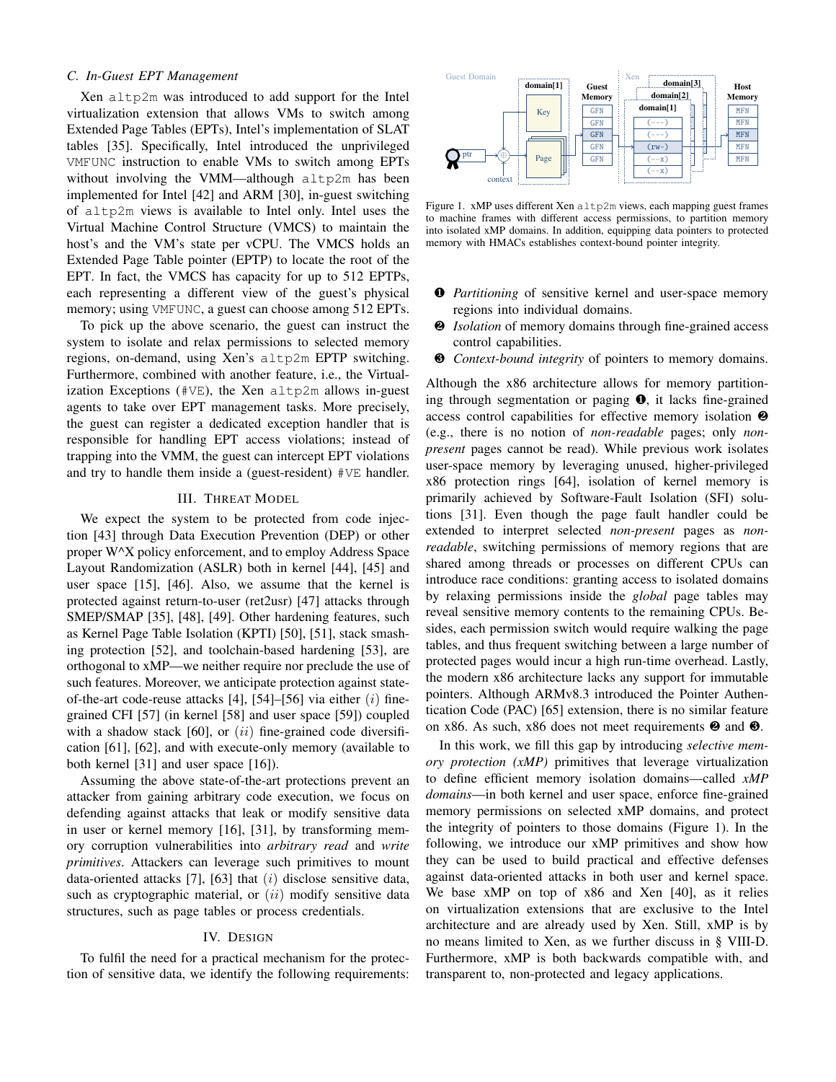# <span id="page-2-1"></span>*C. In-Guest EPT Management*

Xen altp2m was introduced to add support for the Intel virtualization extension that allows VMs to switch among Extended Page Tables (EPTs), Intel's implementation of SLAT tables [\[35\]](#page-13-27). Specifically, Intel introduced the unprivileged VMFUNC instruction to enable VMs to switch among EPTs without involving the VMM—although altp2m has been implemented for Intel [\[42\]](#page-13-34) and ARM [\[30\]](#page-13-20), in-guest switching of altp2m views is available to Intel only. Intel uses the Virtual Machine Control Structure (VMCS) to maintain the host's and the VM's state per vCPU. The VMCS holds an Extended Page Table pointer (EPTP) to locate the root of the EPT. In fact, the VMCS has capacity for up to 512 EPTPs, each representing a different view of the guest's physical memory; using VMFUNC, a guest can choose among 512 EPTs.

To pick up the above scenario, the guest can instruct the system to isolate and relax permissions to selected memory regions, on-demand, using Xen's altp2m EPTP switching. Furthermore, combined with another feature, i.e., the Virtualization Exceptions ( $\#VE$ ), the Xen altp2m allows in-guest agents to take over EPT management tasks. More precisely, the guest can register a dedicated exception handler that is responsible for handling EPT access violations; instead of trapping into the VMM, the guest can intercept EPT violations and try to handle them inside a (guest-resident) #VE handler.

#### III. THREAT MODEL

<span id="page-2-2"></span>We expect the system to be protected from code injection [\[43\]](#page-14-0) through Data Execution Prevention (DEP) or other proper W^X policy enforcement, and to employ Address Space Layout Randomization (ASLR) both in kernel [\[44\]](#page-14-1), [\[45\]](#page-14-2) and user space [\[15\]](#page-13-7), [\[46\]](#page-14-3). Also, we assume that the kernel is protected against return-to-user (ret2usr) [\[47\]](#page-14-4) attacks through SMEP/SMAP [\[35\]](#page-13-27), [\[48\]](#page-14-5), [\[49\]](#page-14-6). Other hardening features, such as Kernel Page Table Isolation (KPTI) [\[50\]](#page-14-7), [\[51\]](#page-14-8), stack smashing protection [\[52\]](#page-14-9), and toolchain-based hardening [\[53\]](#page-14-10), are orthogonal to xMP—we neither require nor preclude the use of such features. Moreover, we anticipate protection against state-of-the-art code-reuse attacks [\[4\]](#page-13-35), [\[54\]](#page-14-11)–[\[56\]](#page-14-12) via either  $(i)$  finegrained CFI [\[57\]](#page-14-13) (in kernel [\[58\]](#page-14-14) and user space [\[59\]](#page-14-15)) coupled with a shadow stack  $[60]$ , or  $(ii)$  fine-grained code diversification [\[61\]](#page-14-17), [\[62\]](#page-14-18), and with execute-only memory (available to both kernel [\[31\]](#page-13-22) and user space [\[16\]](#page-13-21)).

Assuming the above state-of-the-art protections prevent an attacker from gaining arbitrary code execution, we focus on defending against attacks that leak or modify sensitive data in user or kernel memory [\[16\]](#page-13-21), [\[31\]](#page-13-22), by transforming memory corruption vulnerabilities into *arbitrary read* and *write primitives*. Attackers can leverage such primitives to mount data-oriented attacks [\[7\]](#page-13-2), [\[63\]](#page-14-19) that  $(i)$  disclose sensitive data, such as cryptographic material, or  $(ii)$  modify sensitive data structures, such as page tables or process credentials.

## IV. DESIGN

<span id="page-2-3"></span>To fulfil the need for a practical mechanism for the protection of sensitive data, we identify the following requirements:



<span id="page-2-0"></span>Figure 1. xMP uses different Xen altp2m views, each mapping guest frames to machine frames with different access permissions, to partition memory into isolated xMP domains. In addition, equipping data pointers to protected memory with HMACs establishes context-bound pointer integrity.

- ❶ *Partitioning* of sensitive kernel and user-space memory regions into individual domains.
- ❷ *Isolation* of memory domains through fine-grained access control capabilities.
- ❸ *Context-bound integrity* of pointers to memory domains.

Although the x86 architecture allows for memory partitioning through segmentation or paging ❶, it lacks fine-grained access control capabilities for effective memory isolation ❷ (e.g., there is no notion of *non-readable* pages; only *nonpresent* pages cannot be read). While previous work isolates user-space memory by leveraging unused, higher-privileged x86 protection rings [\[64\]](#page-14-20), isolation of kernel memory is primarily achieved by Software-Fault Isolation (SFI) solutions [\[31\]](#page-13-22). Even though the page fault handler could be extended to interpret selected *non-present* pages as *nonreadable*, switching permissions of memory regions that are shared among threads or processes on different CPUs can introduce race conditions: granting access to isolated domains by relaxing permissions inside the *global* page tables may reveal sensitive memory contents to the remaining CPUs. Besides, each permission switch would require walking the page tables, and thus frequent switching between a large number of protected pages would incur a high run-time overhead. Lastly, the modern x86 architecture lacks any support for immutable pointers. Although ARMv8.3 introduced the Pointer Authentication Code (PAC) [\[65\]](#page-14-21) extension, there is no similar feature on x86. As such, x86 does not meet requirements ❷ and ❸.

In this work, we fill this gap by introducing *selective memory protection (xMP)* primitives that leverage virtualization to define efficient memory isolation domains—called *xMP domains*—in both kernel and user space, enforce fine-grained memory permissions on selected xMP domains, and protect the integrity of pointers to those domains [\(Figure 1\)](#page-2-0). In the following, we introduce our xMP primitives and show how they can be used to build practical and effective defenses against data-oriented attacks in both user and kernel space. We base xMP on top of x86 and Xen [\[40\]](#page-13-32), as it relies on virtualization extensions that are exclusive to the Intel architecture and are already used by Xen. Still, xMP is by no means limited to Xen, as we further discuss in [§ VIII-D.](#page-12-0) Furthermore, xMP is both backwards compatible with, and transparent to, non-protected and legacy applications.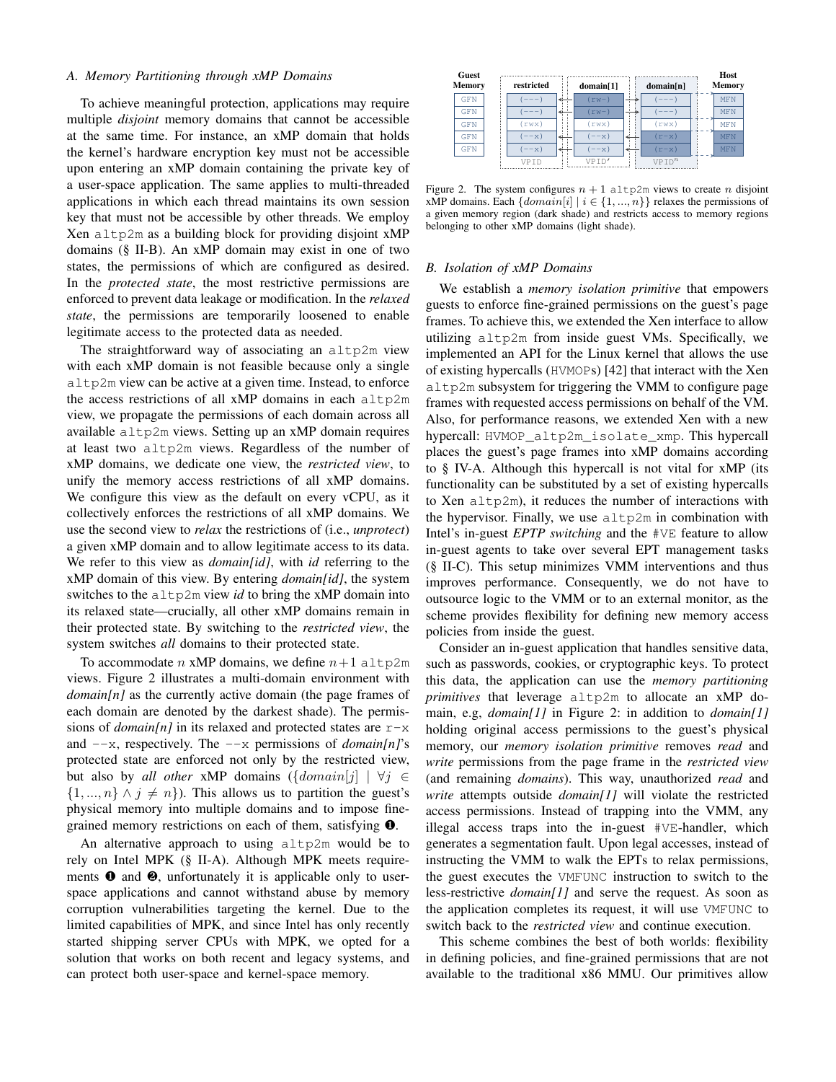# <span id="page-3-1"></span>*A. Memory Partitioning through xMP Domains*

To achieve meaningful protection, applications may require multiple *disjoint* memory domains that cannot be accessible at the same time. For instance, an xMP domain that holds the kernel's hardware encryption key must not be accessible upon entering an xMP domain containing the private key of a user-space application. The same applies to multi-threaded applications in which each thread maintains its own session key that must not be accessible by other threads. We employ Xen altp2m as a building block for providing disjoint xMP domains [\(§ II-B\)](#page-1-0). An xMP domain may exist in one of two states, the permissions of which are configured as desired. In the *protected state*, the most restrictive permissions are enforced to prevent data leakage or modification. In the *relaxed state*, the permissions are temporarily loosened to enable legitimate access to the protected data as needed.

The straightforward way of associating an altp2m view with each xMP domain is not feasible because only a single altp2m view can be active at a given time. Instead, to enforce the access restrictions of all xMP domains in each altp2m view, we propagate the permissions of each domain across all available altp2m views. Setting up an xMP domain requires at least two altp2m views. Regardless of the number of xMP domains, we dedicate one view, the *restricted view*, to unify the memory access restrictions of all xMP domains. We configure this view as the default on every vCPU, as it collectively enforces the restrictions of all xMP domains. We use the second view to *relax* the restrictions of (i.e., *unprotect*) a given xMP domain and to allow legitimate access to its data. We refer to this view as *domain[id]*, with *id* referring to the xMP domain of this view. By entering *domain[id]*, the system switches to the altp2m view *id* to bring the xMP domain into its relaxed state—crucially, all other xMP domains remain in their protected state. By switching to the *restricted view*, the system switches *all* domains to their protected state.

To accommodate n xMP domains, we define  $n+1$  altp2m views. [Figure 2](#page-3-0) illustrates a multi-domain environment with *domain[n]* as the currently active domain (the page frames of each domain are denoted by the darkest shade). The permissions of *domain*[n] in its relaxed and protected states are  $r - x$ and --x, respectively. The --x permissions of *domain[n]*'s protected state are enforced not only by the restricted view, but also by *all other* xMP domains ( $\{domain[j] | \forall j \in$  $\{1, ..., n\} \wedge j \neq n\}$ ). This allows us to partition the guest's physical memory into multiple domains and to impose finegrained memory restrictions on each of them, satisfying ❶.

An alternative approach to using altp2m would be to rely on Intel MPK [\(§ II-A\)](#page-1-1). Although MPK meets requirements  $\bullet$  and  $\bullet$ , unfortunately it is applicable only to userspace applications and cannot withstand abuse by memory corruption vulnerabilities targeting the kernel. Due to the limited capabilities of MPK, and since Intel has only recently started shipping server CPUs with MPK, we opted for a solution that works on both recent and legacy systems, and can protect both user-space and kernel-space memory.

| Guest      |            |           |           | Host          |
|------------|------------|-----------|-----------|---------------|
| Memory     | restricted | domain[1] | domain[n] | <b>Memory</b> |
| <b>GFN</b> | ---        | (rw-)     | ---       | <b>MFN</b>    |
| <b>GFN</b> | --         | $(rw-)$   | ---       | <b>MFN</b>    |
| <b>GFN</b> | rwx)       | rwx)      | rwx)      | <b>MFN</b>    |
| <b>GFN</b> | $--x$      | $--x$     | $(r-x)$   | <b>MFN</b>    |
| <b>GFN</b> | $--x$      | $--x$     | $(r-x)$   | <b>MFN</b>    |
|            | VPTD       | VPTD'     | $VPTD^n$  |               |

<span id="page-3-0"></span>Figure 2. The system configures  $n + 1$  altp2m views to create n disjoint xMP domains. Each  $\{domain[i] | i \in \{1, ..., n\}\}\)$  relaxes the permissions of a given memory region (dark shade) and restricts access to memory regions belonging to other xMP domains (light shade).

## <span id="page-3-2"></span>*B. Isolation of xMP Domains*

We establish a *memory isolation primitive* that empowers guests to enforce fine-grained permissions on the guest's page frames. To achieve this, we extended the Xen interface to allow utilizing altp2m from inside guest VMs. Specifically, we implemented an API for the Linux kernel that allows the use of existing hypercalls (HVMOPs) [\[42\]](#page-13-34) that interact with the Xen altp2m subsystem for triggering the VMM to configure page frames with requested access permissions on behalf of the VM. Also, for performance reasons, we extended Xen with a new hypercall: HVMOP\_altp2m\_isolate\_xmp. This hypercall places the guest's page frames into xMP domains according to [§ IV-A.](#page-3-1) Although this hypercall is not vital for xMP (its functionality can be substituted by a set of existing hypercalls to Xen altp2m), it reduces the number of interactions with the hypervisor. Finally, we use altp2m in combination with Intel's in-guest *EPTP switching* and the #VE feature to allow in-guest agents to take over several EPT management tasks [\(§ II-C\)](#page-2-1). This setup minimizes VMM interventions and thus improves performance. Consequently, we do not have to outsource logic to the VMM or to an external monitor, as the scheme provides flexibility for defining new memory access policies from inside the guest.

Consider an in-guest application that handles sensitive data, such as passwords, cookies, or cryptographic keys. To protect this data, the application can use the *memory partitioning primitives* that leverage altp2m to allocate an xMP domain, e.g, *domain[1]* in [Figure 2:](#page-3-0) in addition to *domain[1]* holding original access permissions to the guest's physical memory, our *memory isolation primitive* removes *read* and *write* permissions from the page frame in the *restricted view* (and remaining *domains*). This way, unauthorized *read* and *write* attempts outside *domain[1]* will violate the restricted access permissions. Instead of trapping into the VMM, any illegal access traps into the in-guest #VE-handler, which generates a segmentation fault. Upon legal accesses, instead of instructing the VMM to walk the EPTs to relax permissions, the guest executes the VMFUNC instruction to switch to the less-restrictive *domain[1]* and serve the request. As soon as the application completes its request, it will use VMFUNC to switch back to the *restricted view* and continue execution.

This scheme combines the best of both worlds: flexibility in defining policies, and fine-grained permissions that are not available to the traditional x86 MMU. Our primitives allow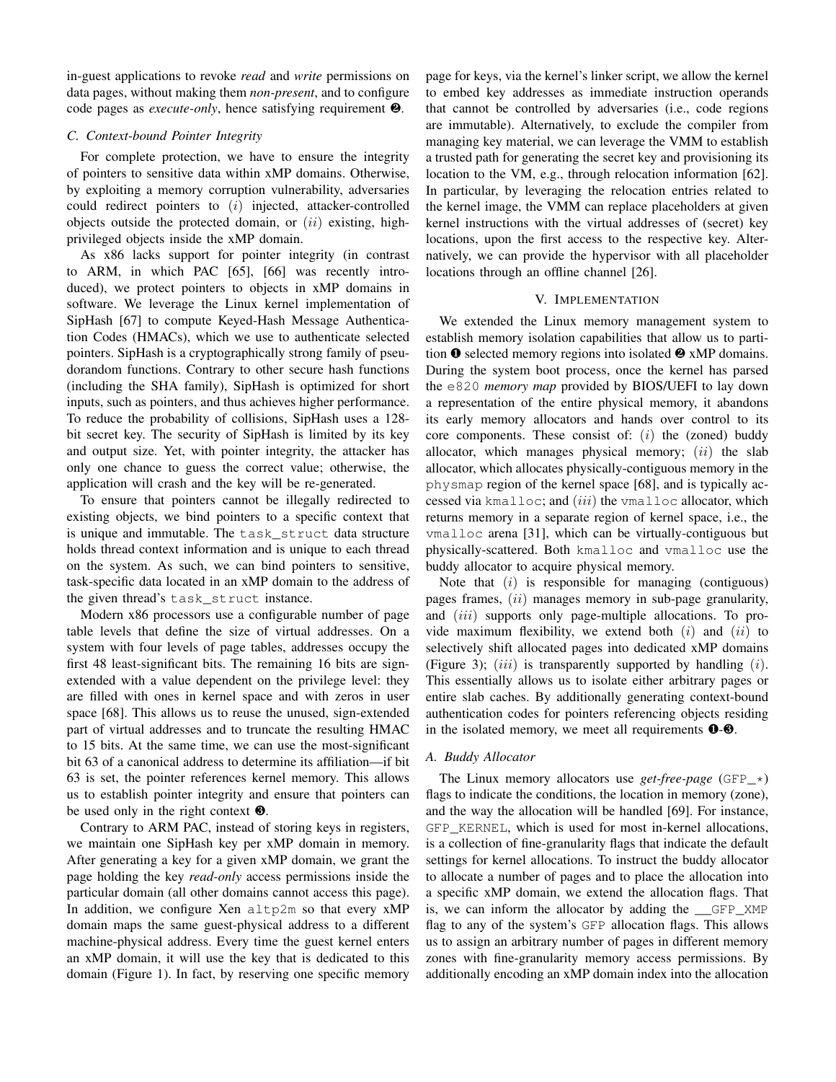in-guest applications to revoke *read* and *write* permissions on data pages, without making them *non-present*, and to configure code pages as *execute-only*, hence satisfying requirement ❷.

# <span id="page-4-1"></span>*C. Context-bound Pointer Integrity*

For complete protection, we have to ensure the integrity of pointers to sensitive data within xMP domains. Otherwise, by exploiting a memory corruption vulnerability, adversaries could redirect pointers to (i) injected, attacker-controlled objects outside the protected domain, or  $(ii)$  existing, highprivileged objects inside the xMP domain.

As x86 lacks support for pointer integrity (in contrast to ARM, in which PAC [\[65\]](#page-14-21), [\[66\]](#page-14-22) was recently introduced), we protect pointers to objects in xMP domains in software. We leverage the Linux kernel implementation of SipHash [\[67\]](#page-14-23) to compute Keyed-Hash Message Authentication Codes (HMACs), which we use to authenticate selected pointers. SipHash is a cryptographically strong family of pseudorandom functions. Contrary to other secure hash functions (including the SHA family), SipHash is optimized for short inputs, such as pointers, and thus achieves higher performance. To reduce the probability of collisions, SipHash uses a 128 bit secret key. The security of SipHash is limited by its key and output size. Yet, with pointer integrity, the attacker has only one chance to guess the correct value; otherwise, the application will crash and the key will be re-generated.

To ensure that pointers cannot be illegally redirected to existing objects, we bind pointers to a specific context that is unique and immutable. The task\_struct data structure holds thread context information and is unique to each thread on the system. As such, we can bind pointers to sensitive, task-specific data located in an xMP domain to the address of the given thread's task\_struct instance.

Modern x86 processors use a configurable number of page table levels that define the size of virtual addresses. On a system with four levels of page tables, addresses occupy the first 48 least-significant bits. The remaining 16 bits are signextended with a value dependent on the privilege level: they are filled with ones in kernel space and with zeros in user space [\[68\]](#page-14-24). This allows us to reuse the unused, sign-extended part of virtual addresses and to truncate the resulting HMAC to 15 bits. At the same time, we can use the most-significant bit 63 of a canonical address to determine its affiliation—if bit 63 is set, the pointer references kernel memory. This allows us to establish pointer integrity and ensure that pointers can be used only in the right context ❸.

Contrary to ARM PAC, instead of storing keys in registers, we maintain one SipHash key per xMP domain in memory. After generating a key for a given xMP domain, we grant the page holding the key *read-only* access permissions inside the particular domain (all other domains cannot access this page). In addition, we configure Xen altp2m so that every xMP domain maps the same guest-physical address to a different machine-physical address. Every time the guest kernel enters an xMP domain, it will use the key that is dedicated to this domain [\(Figure 1\)](#page-2-0). In fact, by reserving one specific memory

page for keys, via the kernel's linker script, we allow the kernel to embed key addresses as immediate instruction operands that cannot be controlled by adversaries (i.e., code regions are immutable). Alternatively, to exclude the compiler from managing key material, we can leverage the VMM to establish a trusted path for generating the secret key and provisioning its location to the VM, e.g., through relocation information [\[62\]](#page-14-18). In particular, by leveraging the relocation entries related to the kernel image, the VMM can replace placeholders at given kernel instructions with the virtual addresses of (secret) key locations, upon the first access to the respective key. Alternatively, we can provide the hypervisor with all placeholder locations through an offline channel [\[26\]](#page-13-17).

## V. IMPLEMENTATION

<span id="page-4-2"></span>We extended the Linux memory management system to establish memory isolation capabilities that allow us to partition  $\bullet$  selected memory regions into isolated  $\bullet$  xMP domains. During the system boot process, once the kernel has parsed the e820 *memory map* provided by BIOS/UEFI to lay down a representation of the entire physical memory, it abandons its early memory allocators and hands over control to its core components. These consist of:  $(i)$  the (zoned) buddy allocator, which manages physical memory;  $(ii)$  the slab allocator, which allocates physically-contiguous memory in the physmap region of the kernel space [\[68\]](#page-14-24), and is typically accessed via kmalloc; and  $(iii)$  the vmalloc allocator, which returns memory in a separate region of kernel space, i.e., the vmalloc arena [\[31\]](#page-13-22), which can be virtually-contiguous but physically-scattered. Both kmalloc and vmalloc use the buddy allocator to acquire physical memory.

Note that  $(i)$  is responsible for managing (contiguous) pages frames, (ii) manages memory in sub-page granularity, and *(iii)* supports only page-multiple allocations. To provide maximum flexibility, we extend both  $(i)$  and  $(ii)$  to selectively shift allocated pages into dedicated xMP domains [\(Figure 3\)](#page-5-0);  $(iii)$  is transparently supported by handling  $(i)$ . This essentially allows us to isolate either arbitrary pages or entire slab caches. By additionally generating context-bound authentication codes for pointers referencing objects residing in the isolated memory, we meet all requirements ❶-❸.

## <span id="page-4-0"></span>*A. Buddy Allocator*

The Linux memory allocators use *get-free-page* (GFP  $*$ ) flags to indicate the conditions, the location in memory (zone), and the way the allocation will be handled [\[69\]](#page-14-25). For instance, GFP\_KERNEL, which is used for most in-kernel allocations, is a collection of fine-granularity flags that indicate the default settings for kernel allocations. To instruct the buddy allocator to allocate a number of pages and to place the allocation into a specific xMP domain, we extend the allocation flags. That is, we can inform the allocator by adding the \_\_GFP\_XMP flag to any of the system's GFP allocation flags. This allows us to assign an arbitrary number of pages in different memory zones with fine-granularity memory access permissions. By additionally encoding an xMP domain index into the allocation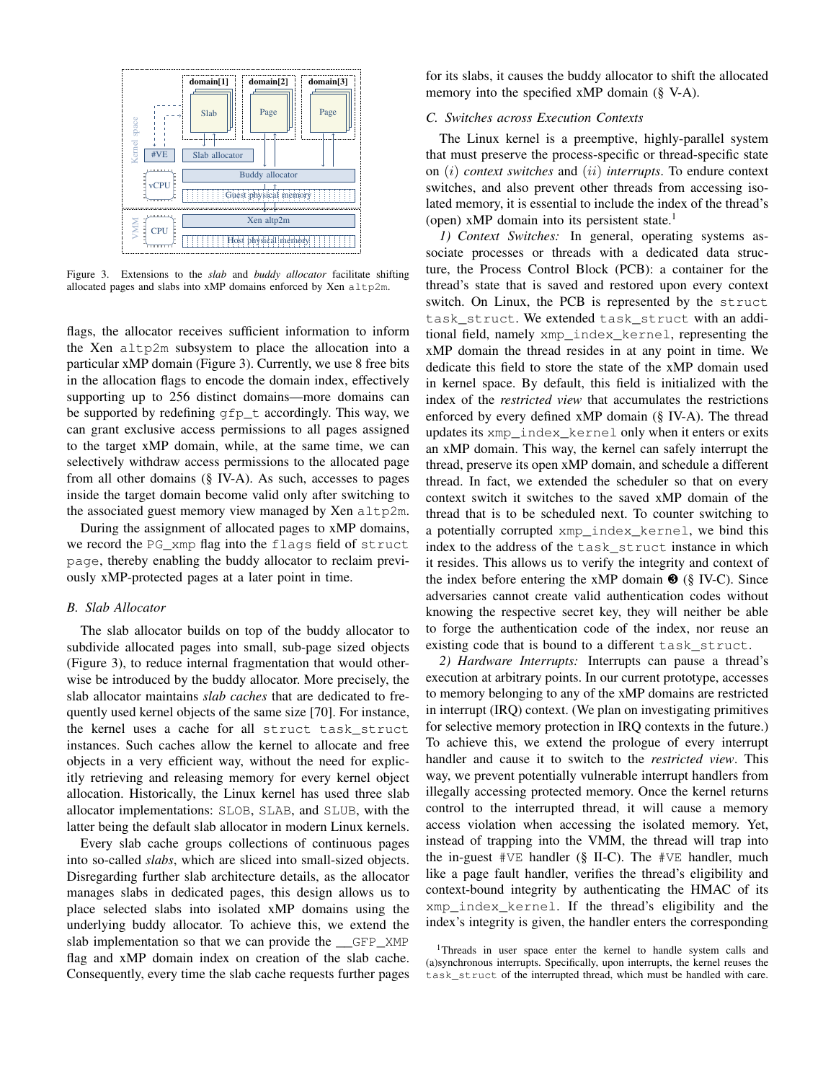

<span id="page-5-0"></span>Figure 3. Extensions to the *slab* and *buddy allocator* facilitate shifting allocated pages and slabs into xMP domains enforced by Xen altp2m.

flags, the allocator receives sufficient information to inform the Xen altp2m subsystem to place the allocation into a particular xMP domain [\(Figure 3\)](#page-5-0). Currently, we use 8 free bits in the allocation flags to encode the domain index, effectively supporting up to 256 distinct domains—more domains can be supported by redefining gfp\_t accordingly. This way, we can grant exclusive access permissions to all pages assigned to the target xMP domain, while, at the same time, we can selectively withdraw access permissions to the allocated page from all other domains [\(§ IV-A\)](#page-3-1). As such, accesses to pages inside the target domain become valid only after switching to the associated guest memory view managed by Xen altp2m.

During the assignment of allocated pages to xMP domains, we record the PG\_xmp flag into the flags field of struct page, thereby enabling the buddy allocator to reclaim previously xMP-protected pages at a later point in time.

## <span id="page-5-2"></span>*B. Slab Allocator*

The slab allocator builds on top of the buddy allocator to subdivide allocated pages into small, sub-page sized objects [\(Figure 3\)](#page-5-0), to reduce internal fragmentation that would otherwise be introduced by the buddy allocator. More precisely, the slab allocator maintains *slab caches* that are dedicated to frequently used kernel objects of the same size [\[70\]](#page-14-26). For instance, the kernel uses a cache for all struct task\_struct instances. Such caches allow the kernel to allocate and free objects in a very efficient way, without the need for explicitly retrieving and releasing memory for every kernel object allocation. Historically, the Linux kernel has used three slab allocator implementations: SLOB, SLAB, and SLUB, with the latter being the default slab allocator in modern Linux kernels.

Every slab cache groups collections of continuous pages into so-called *slabs*, which are sliced into small-sized objects. Disregarding further slab architecture details, as the allocator manages slabs in dedicated pages, this design allows us to place selected slabs into isolated xMP domains using the underlying buddy allocator. To achieve this, we extend the slab implementation so that we can provide the GFP XMP flag and xMP domain index on creation of the slab cache. Consequently, every time the slab cache requests further pages for its slabs, it causes the buddy allocator to shift the allocated memory into the specified xMP domain [\(§ V-A\)](#page-4-0).

## <span id="page-5-3"></span>*C. Switches across Execution Contexts*

The Linux kernel is a preemptive, highly-parallel system that must preserve the process-specific or thread-specific state on (i) *context switches* and (ii) *interrupts*. To endure context switches, and also prevent other threads from accessing isolated memory, it is essential to include the index of the thread's (open) xMP domain into its persistent state.<sup>[1](#page-5-1)</sup>

*1) Context Switches:* In general, operating systems associate processes or threads with a dedicated data structure, the Process Control Block (PCB): a container for the thread's state that is saved and restored upon every context switch. On Linux, the PCB is represented by the struct task\_struct. We extended task\_struct with an additional field, namely xmp\_index\_kernel, representing the xMP domain the thread resides in at any point in time. We dedicate this field to store the state of the xMP domain used in kernel space. By default, this field is initialized with the index of the *restricted view* that accumulates the restrictions enforced by every defined xMP domain [\(§ IV-A\)](#page-3-1). The thread updates its xmp\_index\_kernel only when it enters or exits an xMP domain. This way, the kernel can safely interrupt the thread, preserve its open xMP domain, and schedule a different thread. In fact, we extended the scheduler so that on every context switch it switches to the saved xMP domain of the thread that is to be scheduled next. To counter switching to a potentially corrupted xmp\_index\_kernel, we bind this index to the address of the task\_struct instance in which it resides. This allows us to verify the integrity and context of the index before entering the xMP domain  $\bullet$  [\(§ IV-C\)](#page-4-1). Since adversaries cannot create valid authentication codes without knowing the respective secret key, they will neither be able to forge the authentication code of the index, nor reuse an existing code that is bound to a different task\_struct.

*2) Hardware Interrupts:* Interrupts can pause a thread's execution at arbitrary points. In our current prototype, accesses to memory belonging to any of the xMP domains are restricted in interrupt (IRQ) context. (We plan on investigating primitives for selective memory protection in IRQ contexts in the future.) To achieve this, we extend the prologue of every interrupt handler and cause it to switch to the *restricted view*. This way, we prevent potentially vulnerable interrupt handlers from illegally accessing protected memory. Once the kernel returns control to the interrupted thread, it will cause a memory access violation when accessing the isolated memory. Yet, instead of trapping into the VMM, the thread will trap into the in-guest  $\#VE$  handler [\(§ II-C\)](#page-2-1). The  $\#VE$  handler, much like a page fault handler, verifies the thread's eligibility and context-bound integrity by authenticating the HMAC of its xmp\_index\_kernel. If the thread's eligibility and the index's integrity is given, the handler enters the corresponding

<span id="page-5-1"></span><sup>&</sup>lt;sup>1</sup>Threads in user space enter the kernel to handle system calls and (a)synchronous interrupts. Specifically, upon interrupts, the kernel reuses the task\_struct of the interrupted thread, which must be handled with care.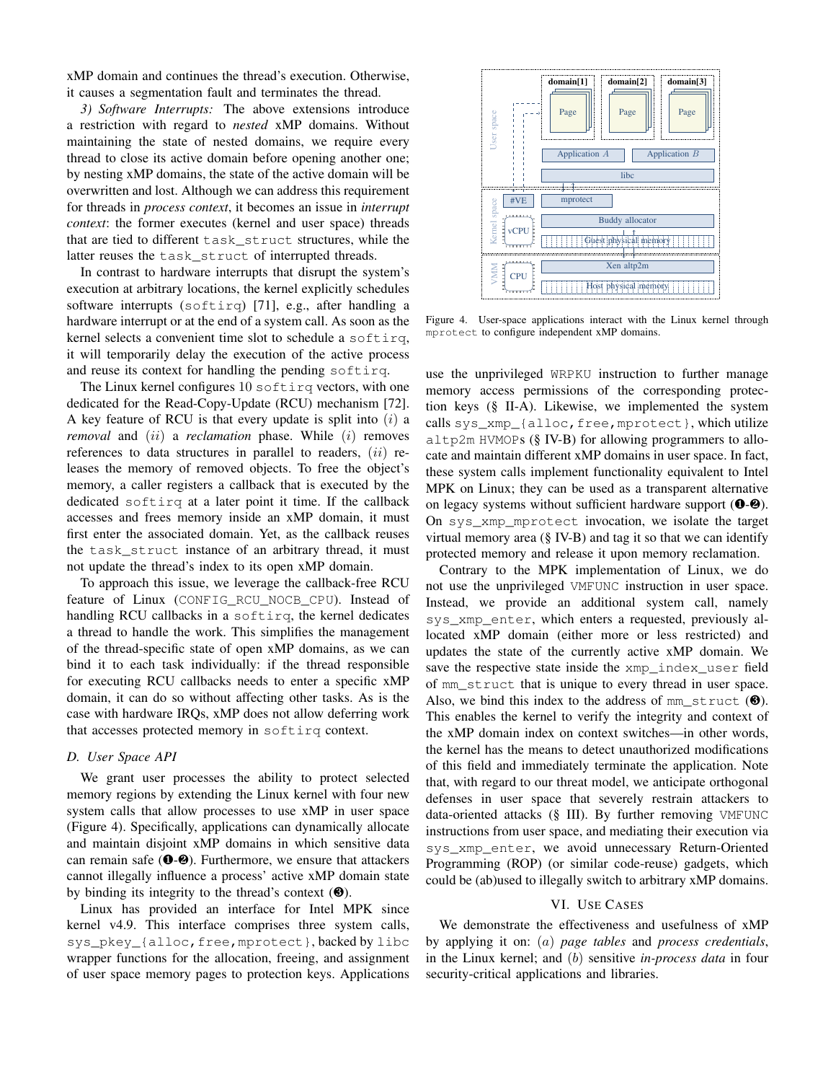xMP domain and continues the thread's execution. Otherwise, it causes a segmentation fault and terminates the thread.

<span id="page-6-3"></span>*3) Software Interrupts:* The above extensions introduce a restriction with regard to *nested* xMP domains. Without maintaining the state of nested domains, we require every thread to close its active domain before opening another one; by nesting xMP domains, the state of the active domain will be overwritten and lost. Although we can address this requirement for threads in *process context*, it becomes an issue in *interrupt context*: the former executes (kernel and user space) threads that are tied to different task\_struct structures, while the latter reuses the task\_struct of interrupted threads.

In contrast to hardware interrupts that disrupt the system's execution at arbitrary locations, the kernel explicitly schedules software interrupts (softirq) [\[71\]](#page-14-27), e.g., after handling a hardware interrupt or at the end of a system call. As soon as the kernel selects a convenient time slot to schedule a softirq, it will temporarily delay the execution of the active process and reuse its context for handling the pending softirq.

The Linux kernel configures 10 softirq vectors, with one dedicated for the Read-Copy-Update (RCU) mechanism [\[72\]](#page-14-28). A key feature of RCU is that every update is split into  $(i)$  a *removal* and (ii) a *reclamation* phase. While (i) removes references to data structures in parallel to readers,  $(ii)$  releases the memory of removed objects. To free the object's memory, a caller registers a callback that is executed by the dedicated softirq at a later point it time. If the callback accesses and frees memory inside an xMP domain, it must first enter the associated domain. Yet, as the callback reuses the task\_struct instance of an arbitrary thread, it must not update the thread's index to its open xMP domain.

To approach this issue, we leverage the callback-free RCU feature of Linux (CONFIG\_RCU\_NOCB\_CPU). Instead of handling RCU callbacks in a softirq, the kernel dedicates a thread to handle the work. This simplifies the management of the thread-specific state of open xMP domains, as we can bind it to each task individually: if the thread responsible for executing RCU callbacks needs to enter a specific xMP domain, it can do so without affecting other tasks. As is the case with hardware IRQs, xMP does not allow deferring work that accesses protected memory in softirq context.

# <span id="page-6-1"></span>*D. User Space API*

We grant user processes the ability to protect selected memory regions by extending the Linux kernel with four new system calls that allow processes to use xMP in user space [\(Figure 4\)](#page-6-0). Specifically, applications can dynamically allocate and maintain disjoint xMP domains in which sensitive data can remain safe  $(①-②)$ . Furthermore, we ensure that attackers cannot illegally influence a process' active xMP domain state by binding its integrity to the thread's context  $(\mathbf{\Theta})$ .

Linux has provided an interface for Intel MPK since kernel v4.9. This interface comprises three system calls, sys pkey {alloc, free, mprotect}, backed by libc wrapper functions for the allocation, freeing, and assignment of user space memory pages to protection keys. Applications



<span id="page-6-0"></span>Figure 4. User-space applications interact with the Linux kernel through mprotect to configure independent xMP domains.

use the unprivileged WRPKU instruction to further manage memory access permissions of the corresponding protection keys [\(§ II-A\)](#page-1-1). Likewise, we implemented the system calls sys\_xmp\_{alloc,free,mprotect}, which utilize altp2m HVMOPs [\(§ IV-B\)](#page-3-2) for allowing programmers to allocate and maintain different xMP domains in user space. In fact, these system calls implement functionality equivalent to Intel MPK on Linux; they can be used as a transparent alternative on legacy systems without sufficient hardware support (❶-❷). On sys\_xmp\_mprotect invocation, we isolate the target virtual memory area  $(\S$  IV-B) and tag it so that we can identify protected memory and release it upon memory reclamation.

Contrary to the MPK implementation of Linux, we do not use the unprivileged VMFUNC instruction in user space. Instead, we provide an additional system call, namely sys xmp enter, which enters a requested, previously allocated xMP domain (either more or less restricted) and updates the state of the currently active xMP domain. We save the respective state inside the xmp\_index\_user field of mm\_struct that is unique to every thread in user space. Also, we bind this index to the address of mm\_struct  $(\mathbf{\Theta})$ . This enables the kernel to verify the integrity and context of the xMP domain index on context switches—in other words, the kernel has the means to detect unauthorized modifications of this field and immediately terminate the application. Note that, with regard to our threat model, we anticipate orthogonal defenses in user space that severely restrain attackers to data-oriented attacks [\(§ III\)](#page-2-2). By further removing VMFUNC instructions from user space, and mediating their execution via sys\_xmp\_enter, we avoid unnecessary Return-Oriented Programming (ROP) (or similar code-reuse) gadgets, which could be (ab)used to illegally switch to arbitrary xMP domains.

## VI. USE CASES

<span id="page-6-2"></span>We demonstrate the effectiveness and usefulness of xMP by applying it on: (a) *page tables* and *process credentials*, in the Linux kernel; and (b) sensitive *in-process data* in four security-critical applications and libraries.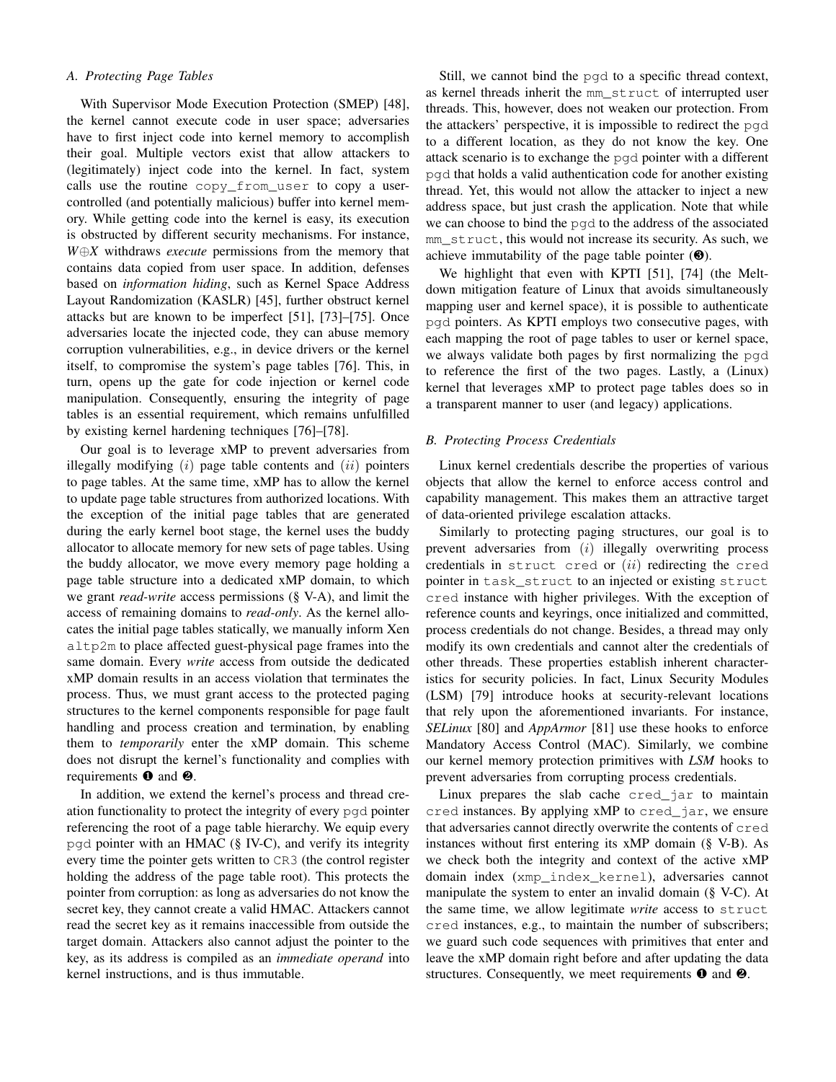# <span id="page-7-0"></span>*A. Protecting Page Tables*

With Supervisor Mode Execution Protection (SMEP) [\[48\]](#page-14-5), the kernel cannot execute code in user space; adversaries have to first inject code into kernel memory to accomplish their goal. Multiple vectors exist that allow attackers to (legitimately) inject code into the kernel. In fact, system calls use the routine copy\_from\_user to copy a usercontrolled (and potentially malicious) buffer into kernel memory. While getting code into the kernel is easy, its execution is obstructed by different security mechanisms. For instance, *W*⊕*X* withdraws *execute* permissions from the memory that contains data copied from user space. In addition, defenses based on *information hiding*, such as Kernel Space Address Layout Randomization (KASLR) [\[45\]](#page-14-2), further obstruct kernel attacks but are known to be imperfect [\[51\]](#page-14-8), [\[73\]](#page-14-29)–[\[75\]](#page-14-30). Once adversaries locate the injected code, they can abuse memory corruption vulnerabilities, e.g., in device drivers or the kernel itself, to compromise the system's page tables [\[76\]](#page-14-31). This, in turn, opens up the gate for code injection or kernel code manipulation. Consequently, ensuring the integrity of page tables is an essential requirement, which remains unfulfilled by existing kernel hardening techniques [\[76\]](#page-14-31)–[\[78\]](#page-14-32).

Our goal is to leverage xMP to prevent adversaries from illegally modifying  $(i)$  page table contents and  $(ii)$  pointers to page tables. At the same time, xMP has to allow the kernel to update page table structures from authorized locations. With the exception of the initial page tables that are generated during the early kernel boot stage, the kernel uses the buddy allocator to allocate memory for new sets of page tables. Using the buddy allocator, we move every memory page holding a page table structure into a dedicated xMP domain, to which we grant *read-write* access permissions [\(§ V-A\)](#page-4-0), and limit the access of remaining domains to *read-only*. As the kernel allocates the initial page tables statically, we manually inform Xen altp2m to place affected guest-physical page frames into the same domain. Every *write* access from outside the dedicated xMP domain results in an access violation that terminates the process. Thus, we must grant access to the protected paging structures to the kernel components responsible for page fault handling and process creation and termination, by enabling them to *temporarily* enter the xMP domain. This scheme does not disrupt the kernel's functionality and complies with requirements ❶ and ❷.

In addition, we extend the kernel's process and thread creation functionality to protect the integrity of every pgd pointer referencing the root of a page table hierarchy. We equip every pgd pointer with an HMAC [\(§ IV-C\)](#page-4-1), and verify its integrity every time the pointer gets written to CR3 (the control register holding the address of the page table root). This protects the pointer from corruption: as long as adversaries do not know the secret key, they cannot create a valid HMAC. Attackers cannot read the secret key as it remains inaccessible from outside the target domain. Attackers also cannot adjust the pointer to the key, as its address is compiled as an *immediate operand* into kernel instructions, and is thus immutable.

Still, we cannot bind the pgd to a specific thread context, as kernel threads inherit the mm\_struct of interrupted user threads. This, however, does not weaken our protection. From the attackers' perspective, it is impossible to redirect the pgd to a different location, as they do not know the key. One attack scenario is to exchange the pgd pointer with a different pgd that holds a valid authentication code for another existing thread. Yet, this would not allow the attacker to inject a new address space, but just crash the application. Note that while we can choose to bind the pgd to the address of the associated mm\_struct, this would not increase its security. As such, we achieve immutability of the page table pointer  $(\mathbf{\Theta})$ .

We highlight that even with KPTI [\[51\]](#page-14-8), [\[74\]](#page-14-33) (the Meltdown mitigation feature of Linux that avoids simultaneously mapping user and kernel space), it is possible to authenticate pgd pointers. As KPTI employs two consecutive pages, with each mapping the root of page tables to user or kernel space, we always validate both pages by first normalizing the pgd to reference the first of the two pages. Lastly, a (Linux) kernel that leverages xMP to protect page tables does so in a transparent manner to user (and legacy) applications.

## <span id="page-7-1"></span>*B. Protecting Process Credentials*

Linux kernel credentials describe the properties of various objects that allow the kernel to enforce access control and capability management. This makes them an attractive target of data-oriented privilege escalation attacks.

Similarly to protecting paging structures, our goal is to prevent adversaries from (i) illegally overwriting process credentials in struct cred or  $(ii)$  redirecting the cred pointer in task\_struct to an injected or existing struct cred instance with higher privileges. With the exception of reference counts and keyrings, once initialized and committed, process credentials do not change. Besides, a thread may only modify its own credentials and cannot alter the credentials of other threads. These properties establish inherent characteristics for security policies. In fact, Linux Security Modules (LSM) [\[79\]](#page-14-34) introduce hooks at security-relevant locations that rely upon the aforementioned invariants. For instance, *SELinux* [\[80\]](#page-14-35) and *AppArmor* [\[81\]](#page-14-36) use these hooks to enforce Mandatory Access Control (MAC). Similarly, we combine our kernel memory protection primitives with *LSM* hooks to prevent adversaries from corrupting process credentials.

Linux prepares the slab cache cred\_jar to maintain cred instances. By applying xMP to cred\_jar, we ensure that adversaries cannot directly overwrite the contents of cred instances without first entering its xMP domain [\(§ V-B\)](#page-5-2). As we check both the integrity and context of the active xMP domain index (xmp\_index\_kernel), adversaries cannot manipulate the system to enter an invalid domain [\(§ V-C\)](#page-5-3). At the same time, we allow legitimate *write* access to struct cred instances, e.g., to maintain the number of subscribers; we guard such code sequences with primitives that enter and leave the xMP domain right before and after updating the data structures. Consequently, we meet requirements  $\bullet$  and  $\bullet$ .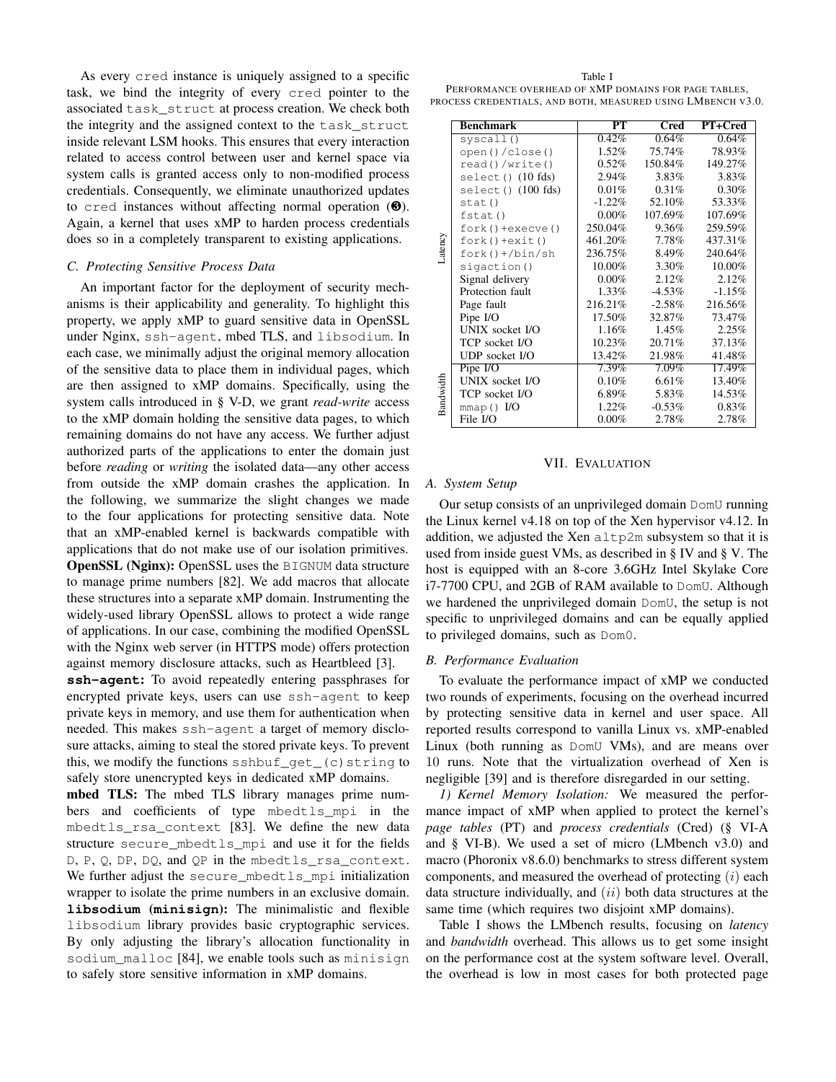As every cred instance is uniquely assigned to a specific task, we bind the integrity of every cred pointer to the associated task\_struct at process creation. We check both the integrity and the assigned context to the task\_struct inside relevant LSM hooks. This ensures that every interaction related to access control between user and kernel space via system calls is granted access only to non-modified process credentials. Consequently, we eliminate unauthorized updates to cred instances without affecting normal operation (❸). Again, a kernel that uses xMP to harden process credentials does so in a completely transparent to existing applications.

## <span id="page-8-1"></span>*C. Protecting Sensitive Process Data*

An important factor for the deployment of security mechanisms is their applicability and generality. To highlight this property, we apply xMP to guard sensitive data in OpenSSL under Nginx, ssh-agent, mbed TLS, and libsodium. In each case, we minimally adjust the original memory allocation of the sensitive data to place them in individual pages, which are then assigned to xMP domains. Specifically, using the system calls introduced in [§ V-D,](#page-6-1) we grant *read-write* access to the xMP domain holding the sensitive data pages, to which remaining domains do not have any access. We further adjust authorized parts of the applications to enter the domain just before *reading* or *writing* the isolated data—any other access from outside the xMP domain crashes the application. In the following, we summarize the slight changes we made to the four applications for protecting sensitive data. Note that an xMP-enabled kernel is backwards compatible with applications that do not make use of our isolation primitives. OpenSSL (Nginx): OpenSSL uses the BIGNUM data structure to manage prime numbers [\[82\]](#page-14-37). We add macros that allocate these structures into a separate xMP domain. Instrumenting the widely-used library OpenSSL allows to protect a wide range of applications. In our case, combining the modified OpenSSL with the Nginx web server (in HTTPS mode) offers protection against memory disclosure attacks, such as Heartbleed [\[3\]](#page-13-13).

**ssh-agent**: To avoid repeatedly entering passphrases for encrypted private keys, users can use ssh-agent to keep private keys in memory, and use them for authentication when needed. This makes ssh-agent a target of memory disclosure attacks, aiming to steal the stored private keys. To prevent this, we modify the functions  $s$ shbuf\_qet\_(c)string to safely store unencrypted keys in dedicated xMP domains.

mbed TLS: The mbed TLS library manages prime numbers and coefficients of type mbedtls\_mpi in the mbedtls\_rsa\_context [\[83\]](#page-14-38). We define the new data structure secure\_mbedtls\_mpi and use it for the fields D, P, Q, DP, DQ, and QP in the mbedtls\_rsa\_context. We further adjust the secure\_mbedtls\_mpi initialization wrapper to isolate the prime numbers in an exclusive domain. **libsodium** (**minisign**): The minimalistic and flexible libsodium library provides basic cryptographic services. By only adjusting the library's allocation functionality in sodium\_malloc [\[84\]](#page-14-39), we enable tools such as minisign to safely store sensitive information in xMP domains.

<span id="page-8-0"></span>Table I PERFORMANCE OVERHEAD OF XMP DOMAINS FOR PAGE TABLES, PROCESS CREDENTIALS, AND BOTH, MEASURED USING LMBENCH V3.0.

|           | <b>Benchmark</b>        | PT        | $\overline{\bf Cred}$ | $PT + Cred$ |
|-----------|-------------------------|-----------|-----------------------|-------------|
|           | syscall()               | 0.42%     | 0.64%                 | 0.64%       |
| Latency   | open() /close()         | $1.52\%$  | 75.74%                | 78.93%      |
|           | read() / write()        | $0.52\%$  | 150.84%               | 149.27%     |
|           | select() (10 fds)       | $2.94\%$  | $3.83\%$              | 3.83%       |
|           | select $()$ $(100$ fds) | $0.01\%$  | $0.31\%$              | 0.30%       |
|           | stat()                  | $-1.22\%$ | 52.10%                | 53.33%      |
|           | fstat()                 | $0.00\%$  | 107.69%               | 107.69%     |
|           | $fork()$ +execve $()$   | 250.04%   | 9.36%                 | 259.59%     |
|           | $fork() + exit()$       | 461.20%   | 7.78%                 | 437.31%     |
|           | $fork() + /bin/sh$      | 236.75%   | 8.49%                 | 240.64%     |
|           | sigaction()             | $10.00\%$ | 3.30%                 | 10.00%      |
|           | Signal delivery         | $0.00\%$  | $2.12\%$              | 2.12%       |
|           | Protection fault        | $1.33\%$  | $-4.53\%$             | $-1.15\%$   |
|           | Page fault              | 216.21\%  | $-2.58\%$             | 216.56%     |
|           | Pipe I/O                | 17.50%    | 32.87%                | 73.47%      |
|           | UNIX socket I/O         | $1.16\%$  | 1.45%                 | 2.25%       |
| Bandwidth | TCP socket I/O          | $10.23\%$ | 20.71%                | 37.13%      |
|           | UDP socket I/O          | 13.42%    | 21.98%                | 41.48%      |
|           | Pipe $I/O$              | $7.39\%$  | $7.09\%$              | 17.49%      |
|           | UNIX socket I/O         | $0.10\%$  | 6.61%                 | 13.40%      |
|           | TCP socket I/O          | $6.89\%$  | 5.83%                 | 14.53%      |
|           | $mmap()$ I/O            | $1.22\%$  | $-0.53\%$             | $0.83\%$    |
|           | File I/O                | $0.00\%$  | 2.78%                 | 2.78%       |

# VII. EVALUATION

#### *A. System Setup*

Our setup consists of an unprivileged domain DomU running the Linux kernel v4.18 on top of the Xen hypervisor v4.12. In addition, we adjusted the Xen altp2m subsystem so that it is used from inside guest VMs, as described in [§ IV](#page-2-3) and [§ V.](#page-4-2) The host is equipped with an 8-core 3.6GHz Intel Skylake Core i7-7700 CPU, and 2GB of RAM available to DomU. Although we hardened the unprivileged domain DomU, the setup is not specific to unprivileged domains and can be equally applied to privileged domains, such as Dom0.

# *B. Performance Evaluation*

To evaluate the performance impact of xMP we conducted two rounds of experiments, focusing on the overhead incurred by protecting sensitive data in kernel and user space. All reported results correspond to vanilla Linux vs. xMP-enabled Linux (both running as DomU VMs), and are means over 10 runs. Note that the virtualization overhead of Xen is negligible [\[39\]](#page-13-31) and is therefore disregarded in our setting.

*1) Kernel Memory Isolation:* We measured the performance impact of xMP when applied to protect the kernel's *page tables* (PT) and *process credentials* (Cred) [\(§ VI-A](#page-7-0) and [§ VI-B\)](#page-7-1). We used a set of micro (LMbench v3.0) and macro (Phoronix v8.6.0) benchmarks to stress different system components, and measured the overhead of protecting  $(i)$  each data structure individually, and  $(ii)$  both data structures at the same time (which requires two disjoint xMP domains).

[Table I](#page-8-0) shows the LMbench results, focusing on *latency* and *bandwidth* overhead. This allows us to get some insight on the performance cost at the system software level. Overall, the overhead is low in most cases for both protected page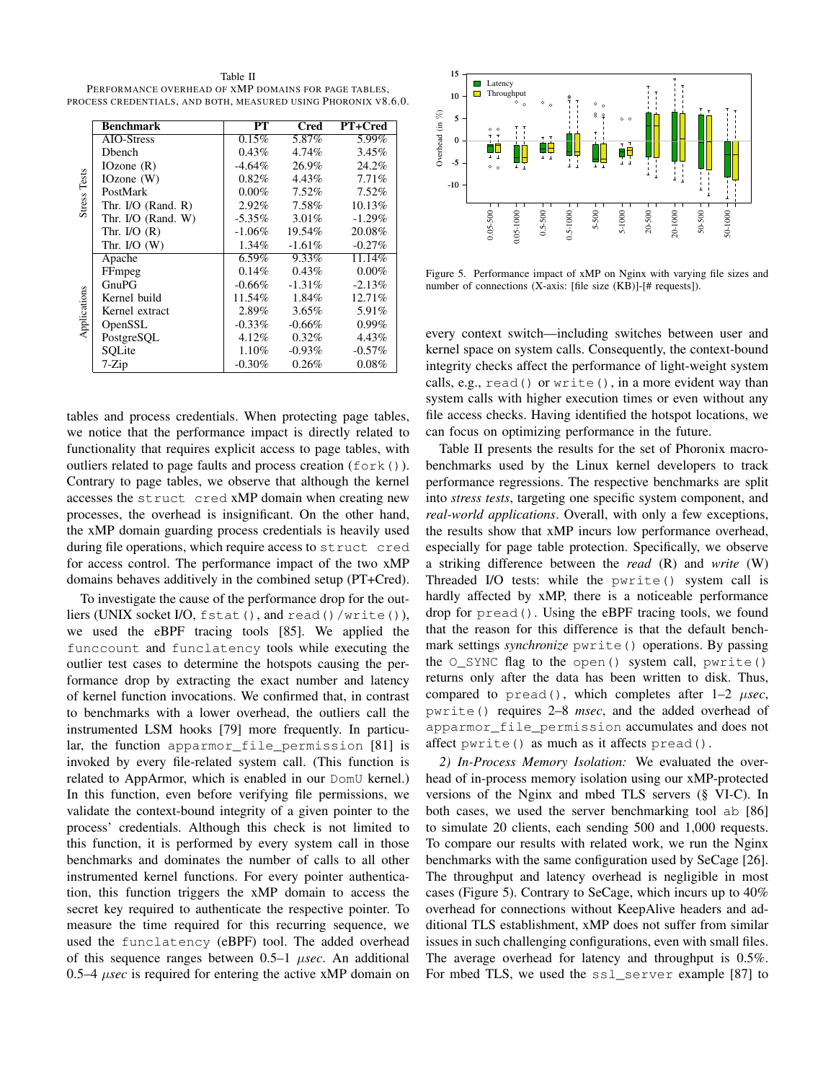<span id="page-9-0"></span>Table II PERFORMANCE OVERHEAD OF XMP DOMAINS FOR PAGE TABLES, PROCESS CREDENTIALS, AND BOTH, MEASURED USING PHORONIX V8.6.0.

|                 | Benchmark            | PТ        | <b>Cred</b> | PT+Cred   |
|-----------------|----------------------|-----------|-------------|-----------|
| Tests<br>Stress | AIO-Stress           | 0.15%     | 5.87%       | 5.99%     |
|                 | <b>Dhench</b>        | 0.43%     | 4.74%       | 3.45%     |
|                 | IOzone $(R)$         | -4.64%    | 26.9%       | 24.2%     |
|                 | IOzone (W)           | 0.82%     | 4.43%       | 7.71%     |
|                 | PostMark             | $0.00\%$  | $7.52\%$    | 7.52%     |
|                 | Thr. $I/O$ (Rand. R) | 2.92%     | 7.58%       | 10.13%    |
|                 | Thr. I/O (Rand. W)   | $-5.35\%$ | $3.01\%$    | $-1.29%$  |
|                 | Thr. $I/O(R)$        | $-1.06\%$ | 19.54%      | 20.08%    |
|                 | Thr. $I/O$ (W)       | $1.34\%$  | $-1.61\%$   | $-0.27%$  |
| Applications    | Apache               | $6.59\%$  | $9.33\%$    | 11.14%    |
|                 | FFmpeg               | 0.14%     | 0.43%       | $0.00\%$  |
|                 | GnuPG                | $-0.66\%$ | $-1.31\%$   | $-2.13%$  |
|                 | Kernel build         | 11.54%    | $1.84\%$    | 12.71%    |
|                 | Kernel extract       | 2.89%     | $3.65\%$    | 5.91%     |
|                 | OpenSSL              | $-0.33\%$ | $-0.66\%$   | $0.99\%$  |
|                 | PostgreSQL           | $4.12\%$  | $0.32\%$    | 4.43%     |
|                 | SOLite               | 1.10%     | $-0.93\%$   | $-0.57\%$ |
|                 | $7-Zip$              | $-0.30\%$ | 0.26%       | 0.08%     |

tables and process credentials. When protecting page tables, we notice that the performance impact is directly related to functionality that requires explicit access to page tables, with outliers related to page faults and process creation (fork()). Contrary to page tables, we observe that although the kernel accesses the struct cred xMP domain when creating new processes, the overhead is insignificant. On the other hand, the xMP domain guarding process credentials is heavily used during file operations, which require access to struct cred for access control. The performance impact of the two xMP domains behaves additively in the combined setup (PT+Cred).

To investigate the cause of the performance drop for the outliers (UNIX socket I/O, fstat(), and read()/write()), we used the eBPF tracing tools [\[85\]](#page-14-40). We applied the funccount and funclatency tools while executing the outlier test cases to determine the hotspots causing the performance drop by extracting the exact number and latency of kernel function invocations. We confirmed that, in contrast to benchmarks with a lower overhead, the outliers call the instrumented LSM hooks [\[79\]](#page-14-34) more frequently. In particu-lar, the function apparmor file permission [\[81\]](#page-14-36) is invoked by every file-related system call. (This function is related to AppArmor, which is enabled in our DomU kernel.) In this function, even before verifying file permissions, we validate the context-bound integrity of a given pointer to the process' credentials. Although this check is not limited to this function, it is performed by every system call in those benchmarks and dominates the number of calls to all other instrumented kernel functions. For every pointer authentication, this function triggers the xMP domain to access the secret key required to authenticate the respective pointer. To measure the time required for this recurring sequence, we used the funclatency (eBPF) tool. The added overhead of this sequence ranges between  $0.5-1$   $\mu$ *sec*. An additional 0.5–4 µ*sec* is required for entering the active xMP domain on



<span id="page-9-1"></span>Figure 5. Performance impact of xMP on Nginx with varying file sizes and number of connections (X-axis: [file size (KB)]-[# requests]).

every context switch—including switches between user and kernel space on system calls. Consequently, the context-bound integrity checks affect the performance of light-weight system calls, e.g., read() or write(), in a more evident way than system calls with higher execution times or even without any file access checks. Having identified the hotspot locations, we can focus on optimizing performance in the future.

[Table II](#page-9-0) presents the results for the set of Phoronix macrobenchmarks used by the Linux kernel developers to track performance regressions. The respective benchmarks are split into *stress tests*, targeting one specific system component, and *real-world applications*. Overall, with only a few exceptions, the results show that xMP incurs low performance overhead, especially for page table protection. Specifically, we observe a striking difference between the *read* (R) and *write* (W) Threaded I/O tests: while the pwrite() system call is hardly affected by xMP, there is a noticeable performance drop for pread(). Using the eBPF tracing tools, we found that the reason for this difference is that the default benchmark settings *synchronize* pwrite() operations. By passing the O\_SYNC flag to the open() system call, pwrite() returns only after the data has been written to disk. Thus, compared to  $\text{pred}($ ), which completes after 1–2  $\mu$ *sec*, pwrite() requires 2–8 *msec*, and the added overhead of apparmor\_file\_permission accumulates and does not affect pwrite() as much as it affects pread().

*2) In-Process Memory Isolation:* We evaluated the overhead of in-process memory isolation using our xMP-protected versions of the Nginx and mbed TLS servers [\(§ VI-C\)](#page-8-1). In both cases, we used the server benchmarking tool ab [\[86\]](#page-14-41) to simulate 20 clients, each sending 500 and 1,000 requests. To compare our results with related work, we run the Nginx benchmarks with the same configuration used by SeCage [\[26\]](#page-13-17). The throughput and latency overhead is negligible in most cases [\(Figure 5\)](#page-9-1). Contrary to SeCage, which incurs up to 40% overhead for connections without KeepAlive headers and additional TLS establishment, xMP does not suffer from similar issues in such challenging configurations, even with small files. The average overhead for latency and throughput is 0.5%. For mbed TLS, we used the ssl\_server example [\[87\]](#page-14-42) to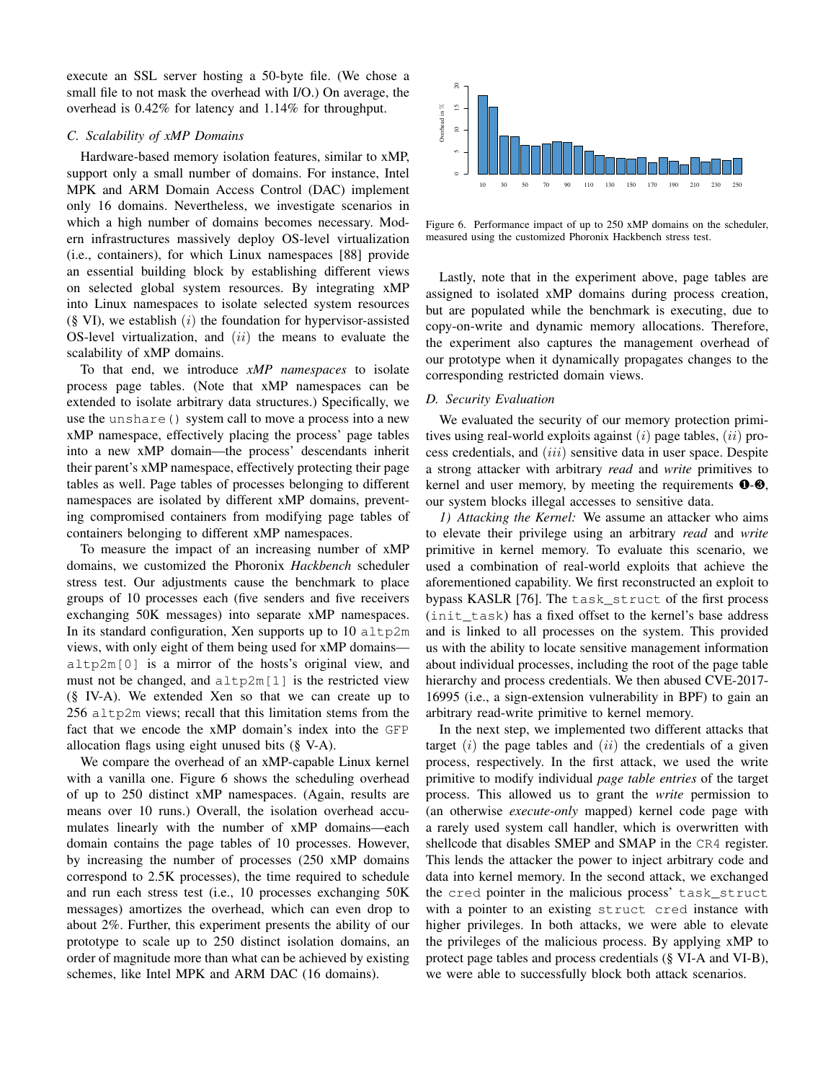execute an SSL server hosting a 50-byte file. (We chose a small file to not mask the overhead with I/O.) On average, the overhead is 0.42% for latency and 1.14% for throughput.

# *C. Scalability of xMP Domains*

Hardware-based memory isolation features, similar to xMP, support only a small number of domains. For instance, Intel MPK and ARM Domain Access Control (DAC) implement only 16 domains. Nevertheless, we investigate scenarios in which a high number of domains becomes necessary. Modern infrastructures massively deploy OS-level virtualization (i.e., containers), for which Linux namespaces [\[88\]](#page-14-43) provide an essential building block by establishing different views on selected global system resources. By integrating xMP into Linux namespaces to isolate selected system resources  $(\S$  VI), we establish  $(i)$  the foundation for hypervisor-assisted OS-level virtualization, and  $(ii)$  the means to evaluate the scalability of xMP domains.

To that end, we introduce *xMP namespaces* to isolate process page tables. (Note that xMP namespaces can be extended to isolate arbitrary data structures.) Specifically, we use the unshare() system call to move a process into a new xMP namespace, effectively placing the process' page tables into a new xMP domain—the process' descendants inherit their parent's xMP namespace, effectively protecting their page tables as well. Page tables of processes belonging to different namespaces are isolated by different xMP domains, preventing compromised containers from modifying page tables of containers belonging to different xMP namespaces.

To measure the impact of an increasing number of xMP domains, we customized the Phoronix *Hackbench* scheduler stress test. Our adjustments cause the benchmark to place groups of 10 processes each (five senders and five receivers exchanging 50K messages) into separate xMP namespaces. In its standard configuration, Xen supports up to  $10$  altp2m views, with only eight of them being used for xMP domains altp2m[0] is a mirror of the hosts's original view, and must not be changed, and altp2m[1] is the restricted view [\(§ IV-A\)](#page-3-1). We extended Xen so that we can create up to 256 altp2m views; recall that this limitation stems from the fact that we encode the xMP domain's index into the GFP allocation flags using eight unused bits [\(§ V-A\)](#page-4-0).

We compare the overhead of an xMP-capable Linux kernel with a vanilla one. [Figure 6](#page-10-0) shows the scheduling overhead of up to 250 distinct xMP namespaces. (Again, results are means over 10 runs.) Overall, the isolation overhead accumulates linearly with the number of xMP domains—each domain contains the page tables of 10 processes. However, by increasing the number of processes (250 xMP domains correspond to 2.5K processes), the time required to schedule and run each stress test (i.e., 10 processes exchanging 50K messages) amortizes the overhead, which can even drop to about 2%. Further, this experiment presents the ability of our prototype to scale up to 250 distinct isolation domains, an order of magnitude more than what can be achieved by existing schemes, like Intel MPK and ARM DAC (16 domains).



<span id="page-10-0"></span>Figure 6. Performance impact of up to 250 xMP domains on the scheduler, measured using the customized Phoronix Hackbench stress test.

Lastly, note that in the experiment above, page tables are assigned to isolated xMP domains during process creation, but are populated while the benchmark is executing, due to copy-on-write and dynamic memory allocations. Therefore, the experiment also captures the management overhead of our prototype when it dynamically propagates changes to the corresponding restricted domain views.

#### *D. Security Evaluation*

We evaluated the security of our memory protection primitives using real-world exploits against  $(i)$  page tables,  $(ii)$  process credentials, and (iii) sensitive data in user space. Despite a strong attacker with arbitrary *read* and *write* primitives to kernel and user memory, by meeting the requirements ❶-❸, our system blocks illegal accesses to sensitive data.

*1) Attacking the Kernel:* We assume an attacker who aims to elevate their privilege using an arbitrary *read* and *write* primitive in kernel memory. To evaluate this scenario, we used a combination of real-world exploits that achieve the aforementioned capability. We first reconstructed an exploit to bypass KASLR [\[76\]](#page-14-31). The task\_struct of the first process (init\_task) has a fixed offset to the kernel's base address and is linked to all processes on the system. This provided us with the ability to locate sensitive management information about individual processes, including the root of the page table hierarchy and process credentials. We then abused CVE-2017- 16995 (i.e., a sign-extension vulnerability in BPF) to gain an arbitrary read-write primitive to kernel memory.

In the next step, we implemented two different attacks that target  $(i)$  the page tables and  $(ii)$  the credentials of a given process, respectively. In the first attack, we used the write primitive to modify individual *page table entries* of the target process. This allowed us to grant the *write* permission to (an otherwise *execute-only* mapped) kernel code page with a rarely used system call handler, which is overwritten with shellcode that disables SMEP and SMAP in the CR4 register. This lends the attacker the power to inject arbitrary code and data into kernel memory. In the second attack, we exchanged the cred pointer in the malicious process' task\_struct with a pointer to an existing struct cred instance with higher privileges. In both attacks, we were able to elevate the privileges of the malicious process. By applying xMP to protect page tables and process credentials [\(§ VI-A](#page-7-0) and [VI-B\)](#page-7-1), we were able to successfully block both attack scenarios.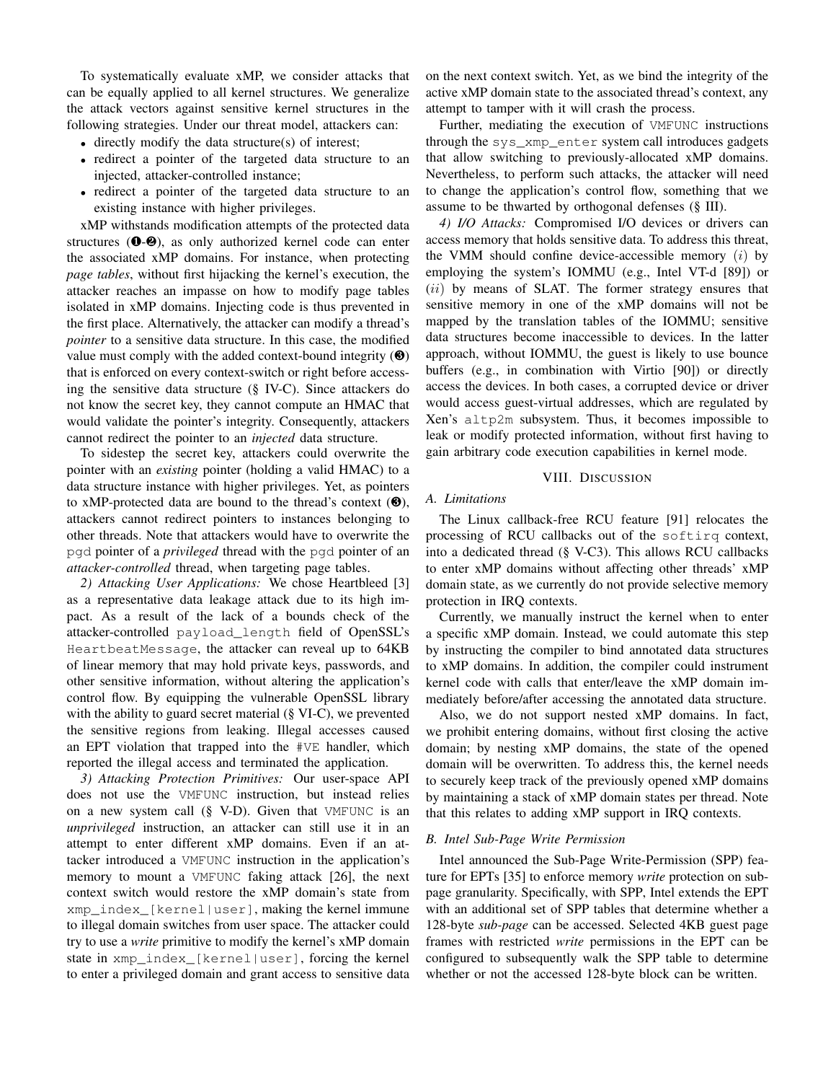To systematically evaluate xMP, we consider attacks that can be equally applied to all kernel structures. We generalize the attack vectors against sensitive kernel structures in the following strategies. Under our threat model, attackers can:

- directly modify the data structure(s) of interest;
- redirect a pointer of the targeted data structure to an injected, attacker-controlled instance;
- redirect a pointer of the targeted data structure to an existing instance with higher privileges.

xMP withstands modification attempts of the protected data structures (❶-❷), as only authorized kernel code can enter the associated xMP domains. For instance, when protecting *page tables*, without first hijacking the kernel's execution, the attacker reaches an impasse on how to modify page tables isolated in xMP domains. Injecting code is thus prevented in the first place. Alternatively, the attacker can modify a thread's *pointer* to a sensitive data structure. In this case, the modified value must comply with the added context-bound integrity  $(\mathbf{\Theta})$ that is enforced on every context-switch or right before accessing the sensitive data structure [\(§ IV-C\)](#page-4-1). Since attackers do not know the secret key, they cannot compute an HMAC that would validate the pointer's integrity. Consequently, attackers cannot redirect the pointer to an *injected* data structure.

To sidestep the secret key, attackers could overwrite the pointer with an *existing* pointer (holding a valid HMAC) to a data structure instance with higher privileges. Yet, as pointers to xMP-protected data are bound to the thread's context  $(\mathbf{\Theta})$ , attackers cannot redirect pointers to instances belonging to other threads. Note that attackers would have to overwrite the pgd pointer of a *privileged* thread with the pgd pointer of an *attacker-controlled* thread, when targeting page tables.

*2) Attacking User Applications:* We chose Heartbleed [\[3\]](#page-13-13) as a representative data leakage attack due to its high impact. As a result of the lack of a bounds check of the attacker-controlled payload\_length field of OpenSSL's HeartbeatMessage, the attacker can reveal up to 64KB of linear memory that may hold private keys, passwords, and other sensitive information, without altering the application's control flow. By equipping the vulnerable OpenSSL library with the ability to guard secret material [\(§ VI-C\)](#page-8-1), we prevented the sensitive regions from leaking. Illegal accesses caused an EPT violation that trapped into the  $\#VE$  handler, which reported the illegal access and terminated the application.

*3) Attacking Protection Primitives:* Our user-space API does not use the VMFUNC instruction, but instead relies on a new system call  $(\S$  V-D). Given that VMFUNC is an *unprivileged* instruction, an attacker can still use it in an attempt to enter different xMP domains. Even if an attacker introduced a VMFUNC instruction in the application's memory to mount a VMFUNC faking attack [\[26\]](#page-13-17), the next context switch would restore the xMP domain's state from xmp\_index\_[kernel|user], making the kernel immune to illegal domain switches from user space. The attacker could try to use a *write* primitive to modify the kernel's xMP domain state in xmp\_index\_[kernel|user], forcing the kernel to enter a privileged domain and grant access to sensitive data

on the next context switch. Yet, as we bind the integrity of the active xMP domain state to the associated thread's context, any attempt to tamper with it will crash the process.

Further, mediating the execution of VMFUNC instructions through the sys\_xmp\_enter system call introduces gadgets that allow switching to previously-allocated xMP domains. Nevertheless, to perform such attacks, the attacker will need to change the application's control flow, something that we assume to be thwarted by orthogonal defenses [\(§ III\)](#page-2-2).

*4) I/O Attacks:* Compromised I/O devices or drivers can access memory that holds sensitive data. To address this threat, the VMM should confine device-accessible memory  $(i)$  by employing the system's IOMMU (e.g., Intel VT-d [\[89\]](#page-14-44)) or (ii) by means of SLAT. The former strategy ensures that sensitive memory in one of the xMP domains will not be mapped by the translation tables of the IOMMU; sensitive data structures become inaccessible to devices. In the latter approach, without IOMMU, the guest is likely to use bounce buffers (e.g., in combination with Virtio [\[90\]](#page-14-45)) or directly access the devices. In both cases, a corrupted device or driver would access guest-virtual addresses, which are regulated by Xen's altp2m subsystem. Thus, it becomes impossible to leak or modify protected information, without first having to gain arbitrary code execution capabilities in kernel mode.

#### VIII. DISCUSSION

# *A. Limitations*

The Linux callback-free RCU feature [\[91\]](#page-14-46) relocates the processing of RCU callbacks out of the softirq context, into a dedicated thread [\(§ V-C3\)](#page-6-3). This allows RCU callbacks to enter xMP domains without affecting other threads' xMP domain state, as we currently do not provide selective memory protection in IRQ contexts.

Currently, we manually instruct the kernel when to enter a specific xMP domain. Instead, we could automate this step by instructing the compiler to bind annotated data structures to xMP domains. In addition, the compiler could instrument kernel code with calls that enter/leave the xMP domain immediately before/after accessing the annotated data structure.

Also, we do not support nested xMP domains. In fact, we prohibit entering domains, without first closing the active domain; by nesting xMP domains, the state of the opened domain will be overwritten. To address this, the kernel needs to securely keep track of the previously opened xMP domains by maintaining a stack of xMP domain states per thread. Note that this relates to adding xMP support in IRQ contexts.

## *B. Intel Sub-Page Write Permission*

Intel announced the Sub-Page Write-Permission (SPP) feature for EPTs [\[35\]](#page-13-27) to enforce memory *write* protection on subpage granularity. Specifically, with SPP, Intel extends the EPT with an additional set of SPP tables that determine whether a 128-byte *sub-page* can be accessed. Selected 4KB guest page frames with restricted *write* permissions in the EPT can be configured to subsequently walk the SPP table to determine whether or not the accessed 128-byte block can be written.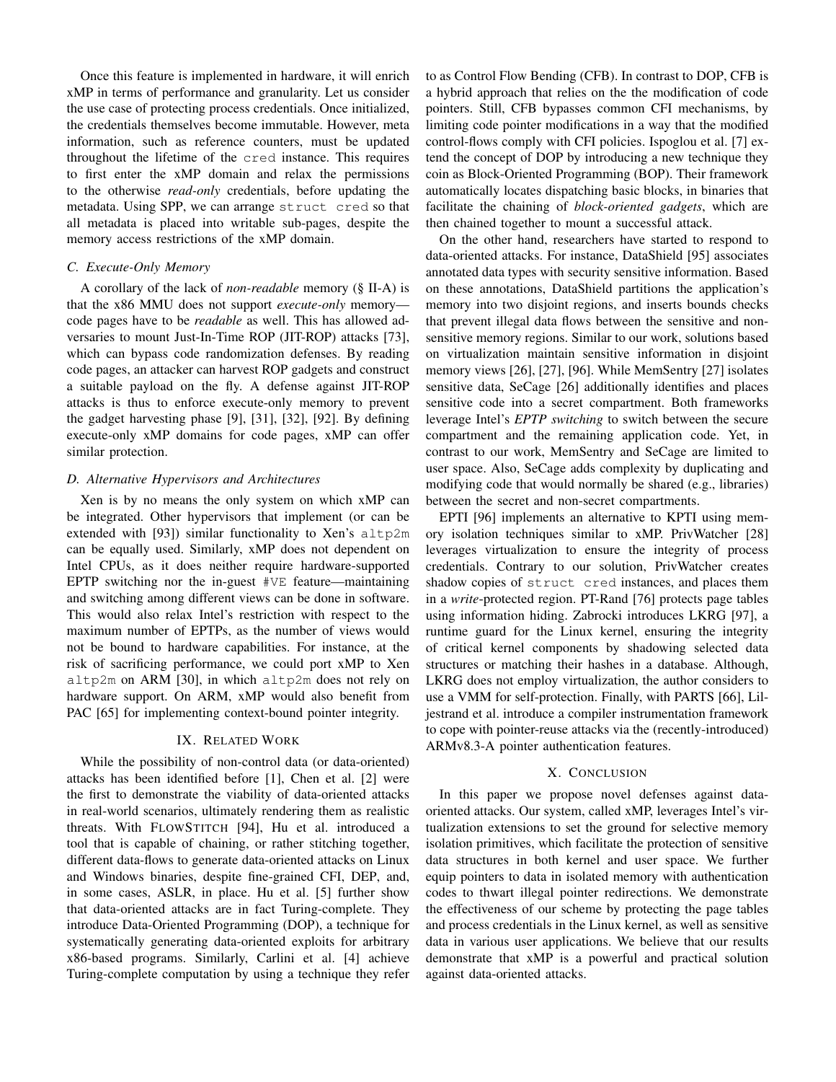Once this feature is implemented in hardware, it will enrich xMP in terms of performance and granularity. Let us consider the use case of protecting process credentials. Once initialized, the credentials themselves become immutable. However, meta information, such as reference counters, must be updated throughout the lifetime of the cred instance. This requires to first enter the xMP domain and relax the permissions to the otherwise *read-only* credentials, before updating the metadata. Using SPP, we can arrange struct cred so that all metadata is placed into writable sub-pages, despite the memory access restrictions of the xMP domain.

# *C. Execute-Only Memory*

A corollary of the lack of *non-readable* memory [\(§ II-A\)](#page-1-1) is that the x86 MMU does not support *execute-only* memory code pages have to be *readable* as well. This has allowed adversaries to mount Just-In-Time ROP (JIT-ROP) attacks [\[73\]](#page-14-29), which can bypass code randomization defenses. By reading code pages, an attacker can harvest ROP gadgets and construct a suitable payload on the fly. A defense against JIT-ROP attacks is thus to enforce execute-only memory to prevent the gadget harvesting phase [\[9\]](#page-13-23), [\[31\]](#page-13-22), [\[32\]](#page-13-24), [\[92\]](#page-14-47). By defining execute-only xMP domains for code pages, xMP can offer similar protection.

# <span id="page-12-0"></span>*D. Alternative Hypervisors and Architectures*

Xen is by no means the only system on which xMP can be integrated. Other hypervisors that implement (or can be extended with [\[93\]](#page-14-48)) similar functionality to Xen's altp2m can be equally used. Similarly, xMP does not dependent on Intel CPUs, as it does neither require hardware-supported EPTP switching nor the in-guest #VE feature—maintaining and switching among different views can be done in software. This would also relax Intel's restriction with respect to the maximum number of EPTPs, as the number of views would not be bound to hardware capabilities. For instance, at the risk of sacrificing performance, we could port xMP to Xen altp2m on ARM [\[30\]](#page-13-20), in which altp2m does not rely on hardware support. On ARM, xMP would also benefit from PAC [\[65\]](#page-14-21) for implementing context-bound pointer integrity.

# IX. RELATED WORK

While the possibility of non-control data (or data-oriented) attacks has been identified before [\[1\]](#page-13-0), Chen et al. [\[2\]](#page-13-1) were the first to demonstrate the viability of data-oriented attacks in real-world scenarios, ultimately rendering them as realistic threats. With FLOWSTITCH [\[94\]](#page-14-49), Hu et al. introduced a tool that is capable of chaining, or rather stitching together, different data-flows to generate data-oriented attacks on Linux and Windows binaries, despite fine-grained CFI, DEP, and, in some cases, ASLR, in place. Hu et al. [\[5\]](#page-13-12) further show that data-oriented attacks are in fact Turing-complete. They introduce Data-Oriented Programming (DOP), a technique for systematically generating data-oriented exploits for arbitrary x86-based programs. Similarly, Carlini et al. [\[4\]](#page-13-35) achieve Turing-complete computation by using a technique they refer to as Control Flow Bending (CFB). In contrast to DOP, CFB is a hybrid approach that relies on the the modification of code pointers. Still, CFB bypasses common CFI mechanisms, by limiting code pointer modifications in a way that the modified control-flows comply with CFI policies. Ispoglou et al. [\[7\]](#page-13-2) extend the concept of DOP by introducing a new technique they coin as Block-Oriented Programming (BOP). Their framework automatically locates dispatching basic blocks, in binaries that facilitate the chaining of *block-oriented gadgets*, which are then chained together to mount a successful attack.

On the other hand, researchers have started to respond to data-oriented attacks. For instance, DataShield [\[95\]](#page-14-50) associates annotated data types with security sensitive information. Based on these annotations, DataShield partitions the application's memory into two disjoint regions, and inserts bounds checks that prevent illegal data flows between the sensitive and nonsensitive memory regions. Similar to our work, solutions based on virtualization maintain sensitive information in disjoint memory views [\[26\]](#page-13-17), [\[27\]](#page-13-36), [\[96\]](#page-14-51). While MemSentry [\[27\]](#page-13-36) isolates sensitive data, SeCage [\[26\]](#page-13-17) additionally identifies and places sensitive code into a secret compartment. Both frameworks leverage Intel's *EPTP switching* to switch between the secure compartment and the remaining application code. Yet, in contrast to our work, MemSentry and SeCage are limited to user space. Also, SeCage adds complexity by duplicating and modifying code that would normally be shared (e.g., libraries) between the secret and non-secret compartments.

EPTI [\[96\]](#page-14-51) implements an alternative to KPTI using memory isolation techniques similar to xMP. PrivWatcher [\[28\]](#page-13-18) leverages virtualization to ensure the integrity of process credentials. Contrary to our solution, PrivWatcher creates shadow copies of struct cred instances, and places them in a *write*-protected region. PT-Rand [\[76\]](#page-14-31) protects page tables using information hiding. Zabrocki introduces LKRG [\[97\]](#page-14-52), a runtime guard for the Linux kernel, ensuring the integrity of critical kernel components by shadowing selected data structures or matching their hashes in a database. Although, LKRG does not employ virtualization, the author considers to use a VMM for self-protection. Finally, with PARTS [\[66\]](#page-14-22), Liljestrand et al. introduce a compiler instrumentation framework to cope with pointer-reuse attacks via the (recently-introduced) ARMv8.3-A pointer authentication features.

## X. CONCLUSION

In this paper we propose novel defenses against dataoriented attacks. Our system, called xMP, leverages Intel's virtualization extensions to set the ground for selective memory isolation primitives, which facilitate the protection of sensitive data structures in both kernel and user space. We further equip pointers to data in isolated memory with authentication codes to thwart illegal pointer redirections. We demonstrate the effectiveness of our scheme by protecting the page tables and process credentials in the Linux kernel, as well as sensitive data in various user applications. We believe that our results demonstrate that xMP is a powerful and practical solution against data-oriented attacks.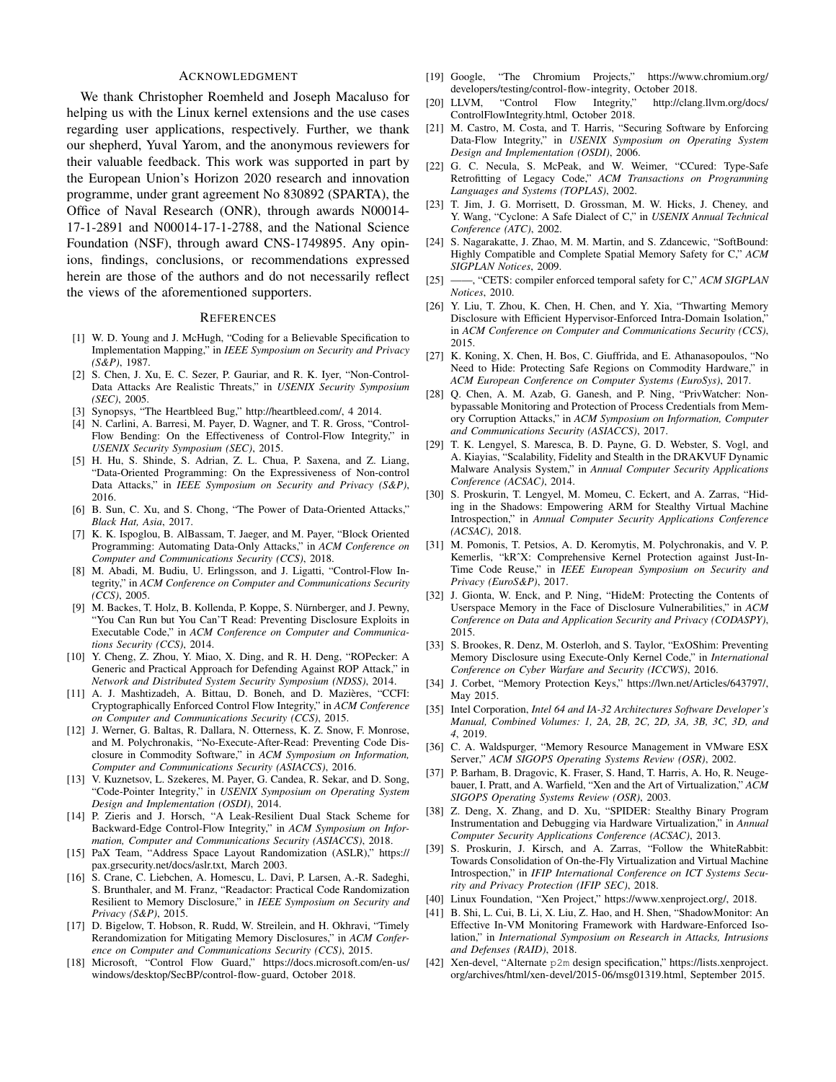## ACKNOWLEDGMENT

We thank Christopher Roemheld and Joseph Macaluso for helping us with the Linux kernel extensions and the use cases regarding user applications, respectively. Further, we thank our shepherd, Yuval Yarom, and the anonymous reviewers for their valuable feedback. This work was supported in part by the European Union's Horizon 2020 research and innovation programme, under grant agreement No 830892 (SPARTA), the Office of Naval Research (ONR), through awards N00014- 17-1-2891 and N00014-17-1-2788, and the National Science Foundation (NSF), through award CNS-1749895. Any opinions, findings, conclusions, or recommendations expressed herein are those of the authors and do not necessarily reflect the views of the aforementioned supporters.

## **REFERENCES**

- <span id="page-13-0"></span>[1] W. D. Young and J. McHugh, "Coding for a Believable Specification to Implementation Mapping," in *IEEE Symposium on Security and Privacy (S&P)*, 1987.
- <span id="page-13-1"></span>[2] S. Chen, J. Xu, E. C. Sezer, P. Gauriar, and R. K. Iyer, "Non-Control-Data Attacks Are Realistic Threats," in *USENIX Security Symposium (SEC)*, 2005.
- <span id="page-13-13"></span>Synopsys, "The Heartbleed Bug," [http://heartbleed.com/,](http://heartbleed.com/) 4 2014.
- <span id="page-13-35"></span>[4] N. Carlini, A. Barresi, M. Payer, D. Wagner, and T. R. Gross, "Control-Flow Bending: On the Effectiveness of Control-Flow Integrity," in *USENIX Security Symposium (SEC)*, 2015.
- <span id="page-13-12"></span>[5] H. Hu, S. Shinde, S. Adrian, Z. L. Chua, P. Saxena, and Z. Liang, "Data-Oriented Programming: On the Expressiveness of Non-control Data Attacks," in *IEEE Symposium on Security and Privacy (S&P)*, 2016.
- [6] B. Sun, C. Xu, and S. Chong, "The Power of Data-Oriented Attacks," *Black Hat, Asia*, 2017.
- <span id="page-13-2"></span>[7] K. K. Ispoglou, B. AlBassam, T. Jaeger, and M. Payer, "Block Oriented Programming: Automating Data-Only Attacks," in *ACM Conference on Computer and Communications Security (CCS)*, 2018.
- <span id="page-13-3"></span>[8] M. Abadi, M. Budiu, U. Erlingsson, and J. Ligatti, "Control-Flow Integrity," in *ACM Conference on Computer and Communications Security (CCS)*, 2005.
- <span id="page-13-23"></span>[9] M. Backes, T. Holz, B. Kollenda, P. Koppe, S. Nürnberger, and J. Pewny, "You Can Run but You Can'T Read: Preventing Disclosure Exploits in Executable Code," in *ACM Conference on Computer and Communications Security (CCS)*, 2014.
- [10] Y. Cheng, Z. Zhou, Y. Miao, X. Ding, and R. H. Deng, "ROPecker: A Generic and Practical Approach for Defending Against ROP Attack," in *Network and Distributed System Security Symposium (NDSS)*, 2014.
- [11] A. J. Mashtizadeh, A. Bittau, D. Boneh, and D. Mazières, "CCFI: Cryptographically Enforced Control Flow Integrity," in *ACM Conference on Computer and Communications Security (CCS)*, 2015.
- <span id="page-13-4"></span>[12] J. Werner, G. Baltas, R. Dallara, N. Otterness, K. Z. Snow, F. Monrose, and M. Polychronakis, "No-Execute-After-Read: Preventing Code Disclosure in Commodity Software," in *ACM Symposium on Information, Computer and Communications Security (ASIACCS)*, 2016.
- <span id="page-13-5"></span>[13] V. Kuznetsov, L. Szekeres, M. Payer, G. Candea, R. Sekar, and D. Song, "Code-Pointer Integrity," in *USENIX Symposium on Operating System Design and Implementation (OSDI)*, 2014.
- <span id="page-13-6"></span>[14] P. Zieris and J. Horsch, "A Leak-Resilient Dual Stack Scheme for Backward-Edge Control-Flow Integrity," in *ACM Symposium on Information, Computer and Communications Security (ASIACCS)*, 2018.
- <span id="page-13-7"></span>[15] PaX Team, "Address Space Layout Randomization (ASLR)," [https://](https://pax.grsecurity.net/docs/aslr.txt) [pax.grsecurity.net/docs/aslr.txt,](https://pax.grsecurity.net/docs/aslr.txt) March 2003.
- <span id="page-13-21"></span>[16] S. Crane, C. Liebchen, A. Homescu, L. Davi, P. Larsen, A.-R. Sadeghi, S. Brunthaler, and M. Franz, "Readactor: Practical Code Randomization Resilient to Memory Disclosure," in *IEEE Symposium on Security and Privacy (S&P)*, 2015.
- <span id="page-13-8"></span>[17] D. Bigelow, T. Hobson, R. Rudd, W. Streilein, and H. Okhravi, "Timely Rerandomization for Mitigating Memory Disclosures," in *ACM Conference on Computer and Communications Security (CCS)*, 2015.
- <span id="page-13-9"></span>[18] Microsoft, "Control Flow Guard," [https://docs.microsoft.com/en-us/](https://docs.microsoft.com/en-us/windows/desktop/SecBP/control-flow-guard) [windows/desktop/SecBP/control-flow-guard,](https://docs.microsoft.com/en-us/windows/desktop/SecBP/control-flow-guard) October 2018.
- <span id="page-13-10"></span>[19] Google, "The Chromium Projects," [https://www.chromium.org/](https://www.chromium.org/developers/testing/control-flow-integrity) [developers/testing/control-flow-integrity,](https://www.chromium.org/developers/testing/control-flow-integrity) October 2018.
- <span id="page-13-11"></span>[20] LLVM, "Control Flow Integrity," [http://clang.llvm.org/docs/](http://clang.llvm.org/docs/ControlFlowIntegrity.html) [ControlFlowIntegrity.html,](http://clang.llvm.org/docs/ControlFlowIntegrity.html) October 2018.
- <span id="page-13-14"></span>[21] M. Castro, M. Costa, and T. Harris, "Securing Software by Enforcing Data-Flow Integrity," in *USENIX Symposium on Operating System Design and Implementation (OSDI)*, 2006.
- <span id="page-13-15"></span>[22] G. C. Necula, S. McPeak, and W. Weimer, "CCured: Type-Safe Retrofitting of Legacy Code," *ACM Transactions on Programming Languages and Systems (TOPLAS)*, 2002.
- [23] T. Jim, J. G. Morrisett, D. Grossman, M. W. Hicks, J. Cheney, and Y. Wang, "Cyclone: A Safe Dialect of C," in *USENIX Annual Technical Conference (ATC)*, 2002.
- [24] S. Nagarakatte, J. Zhao, M. M. Martin, and S. Zdancewic, "SoftBound: Highly Compatible and Complete Spatial Memory Safety for C," *ACM SIGPLAN Notices*, 2009.
- <span id="page-13-16"></span>[25] ——, "CETS: compiler enforced temporal safety for C," *ACM SIGPLAN Notices*, 2010.
- <span id="page-13-17"></span>[26] Y. Liu, T. Zhou, K. Chen, H. Chen, and Y. Xia, "Thwarting Memory Disclosure with Efficient Hypervisor-Enforced Intra-Domain Isolation," in *ACM Conference on Computer and Communications Security (CCS)*, 2015.
- <span id="page-13-36"></span>[27] K. Koning, X. Chen, H. Bos, C. Giuffrida, and E. Athanasopoulos, "No Need to Hide: Protecting Safe Regions on Commodity Hardware," in *ACM European Conference on Computer Systems (EuroSys)*, 2017.
- <span id="page-13-18"></span>[28] O. Chen, A. M. Azab, G. Ganesh, and P. Ning, "PrivWatcher: Nonbypassable Monitoring and Protection of Process Credentials from Memory Corruption Attacks," in *ACM Symposium on Information, Computer and Communications Security (ASIACCS)*, 2017.
- <span id="page-13-19"></span>[29] T. K. Lengyel, S. Maresca, B. D. Payne, G. D. Webster, S. Vogl, and A. Kiayias, "Scalability, Fidelity and Stealth in the DRAKVUF Dynamic Malware Analysis System," in *Annual Computer Security Applications Conference (ACSAC)*, 2014.
- <span id="page-13-20"></span>[30] S. Proskurin, T. Lengyel, M. Momeu, C. Eckert, and A. Zarras, "Hiding in the Shadows: Empowering ARM for Stealthy Virtual Machine Introspection," in *Annual Computer Security Applications Conference (ACSAC)*, 2018.
- <span id="page-13-22"></span>[31] M. Pomonis, T. Petsios, A. D. Keromytis, M. Polychronakis, and V. P. Kemerlis, "kRˆX: Comprehensive Kernel Protection against Just-In-Time Code Reuse," in *IEEE European Symposium on Security and Privacy (EuroS&P)*, 2017.
- <span id="page-13-24"></span>[32] J. Gionta, W. Enck, and P. Ning, "HideM: Protecting the Contents of Userspace Memory in the Face of Disclosure Vulnerabilities," in *ACM Conference on Data and Application Security and Privacy (CODASPY)*, 2015.
- <span id="page-13-25"></span>[33] S. Brookes, R. Denz, M. Osterloh, and S. Taylor, "ExOShim: Preventing Memory Disclosure using Execute-Only Kernel Code," in *International Conference on Cyber Warfare and Security (ICCWS)*, 2016.
- <span id="page-13-26"></span>[34] J. Corbet, "Memory Protection Keys," [https://lwn.net/Articles/643797/,](https://lwn.net/Articles/643797/) May 2015.
- <span id="page-13-27"></span>[35] Intel Corporation, *Intel 64 and IA-32 Architectures Software Developer's Manual, Combined Volumes: 1, 2A, 2B, 2C, 2D, 3A, 3B, 3C, 3D, and 4*, 2019.
- <span id="page-13-28"></span>[36] C. A. Waldspurger, "Memory Resource Management in VMware ESX Server," *ACM SIGOPS Operating Systems Review (OSR)*, 2002.
- <span id="page-13-29"></span>[37] P. Barham, B. Dragovic, K. Fraser, S. Hand, T. Harris, A. Ho, R. Neugebauer, I. Pratt, and A. Warfield, "Xen and the Art of Virtualization," *ACM SIGOPS Operating Systems Review (OSR)*, 2003.
- <span id="page-13-30"></span>[38] Z. Deng, X. Zhang, and D. Xu, "SPIDER: Stealthy Binary Program Instrumentation and Debugging via Hardware Virtualization," in *Annual Computer Security Applications Conference (ACSAC)*, 2013.
- <span id="page-13-31"></span>[39] S. Proskurin, J. Kirsch, and A. Zarras, "Follow the WhiteRabbit: Towards Consolidation of On-the-Fly Virtualization and Virtual Machine Introspection," in *IFIP International Conference on ICT Systems Security and Privacy Protection (IFIP SEC)*, 2018.
- <span id="page-13-32"></span>[40] Linux Foundation, "Xen Project," [https://www.xenproject.org/,](https://www.xenproject.org/) 2018.
- <span id="page-13-33"></span>[41] B. Shi, L. Cui, B. Li, X. Liu, Z. Hao, and H. Shen, "ShadowMonitor: An Effective In-VM Monitoring Framework with Hardware-Enforced Isolation," in *International Symposium on Research in Attacks, Intrusions and Defenses (RAID)*, 2018.
- <span id="page-13-34"></span>[42] Xen-devel, "Alternate p2m design specification," [https://lists.xenproject.](https://lists.xenproject.org/archives/html/xen-devel/2015-06/msg01319.html) [org/archives/html/xen-devel/2015-06/msg01319.html,](https://lists.xenproject.org/archives/html/xen-devel/2015-06/msg01319.html) September 2015.